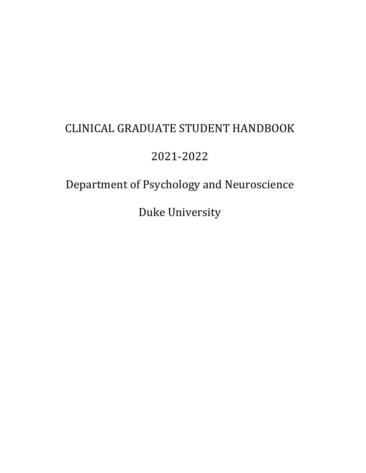# CLINICAL GRADUATE STUDENT HANDBOOK

# 2021-2022

# Department of Psychology and Neuroscience

Duke University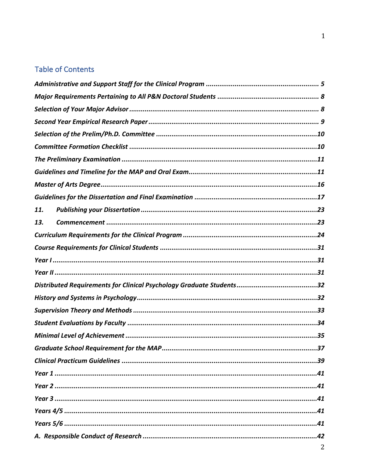# **Table of Contents**

| 11. |
|-----|
| 13. |
|     |
|     |
|     |
|     |
|     |
|     |
|     |
|     |
|     |
|     |
|     |
|     |
|     |
|     |
|     |
|     |
|     |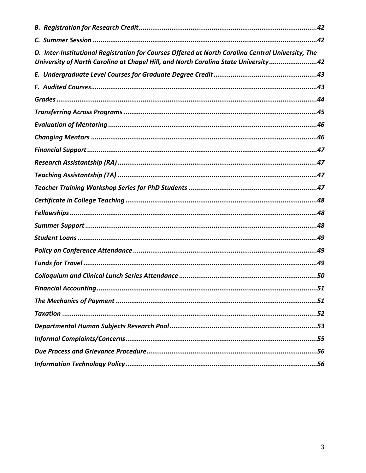| D. Inter-Institutional Registration for Courses Offered at North Carolina Central University, The<br>University of North Carolina at Chapel Hill, and North Carolina State University42 |
|-----------------------------------------------------------------------------------------------------------------------------------------------------------------------------------------|
|                                                                                                                                                                                         |
|                                                                                                                                                                                         |
|                                                                                                                                                                                         |
|                                                                                                                                                                                         |
|                                                                                                                                                                                         |
|                                                                                                                                                                                         |
|                                                                                                                                                                                         |
|                                                                                                                                                                                         |
|                                                                                                                                                                                         |
|                                                                                                                                                                                         |
|                                                                                                                                                                                         |
|                                                                                                                                                                                         |
|                                                                                                                                                                                         |
|                                                                                                                                                                                         |
|                                                                                                                                                                                         |
|                                                                                                                                                                                         |
|                                                                                                                                                                                         |
| .51                                                                                                                                                                                     |
|                                                                                                                                                                                         |
|                                                                                                                                                                                         |
|                                                                                                                                                                                         |
|                                                                                                                                                                                         |
|                                                                                                                                                                                         |
|                                                                                                                                                                                         |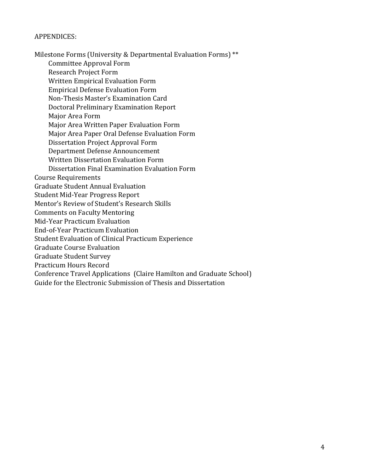#### APPENDICES:

Milestone Forms (University & Departmental Evaluation Forms) \*\* Committee Approval Form Research Project Form Written Empirical Evaluation Form Empirical Defense Evaluation Form Non-Thesis Master's Examination Card Doctoral Preliminary Examination Report Major Area Form Major Area Written Paper Evaluation Form Major Area Paper Oral Defense Evaluation Form Dissertation Project Approval Form Department Defense Announcement Written Dissertation Evaluation Form Dissertation Final Examination Evaluation Form Course Requirements Graduate Student Annual Evaluation Student Mid-Year Progress Report Mentor's Review of Student's Research Skills Comments on Faculty Mentoring Mid-Year Practicum Evaluation End-of-Year Practicum Evaluation Student Evaluation of Clinical Practicum Experience Graduate Course Evaluation Graduate Student Survey Practicum Hours Record Conference Travel Applications (Claire Hamilton and Graduate School) Guide for the Electronic Submission of Thesis and Dissertation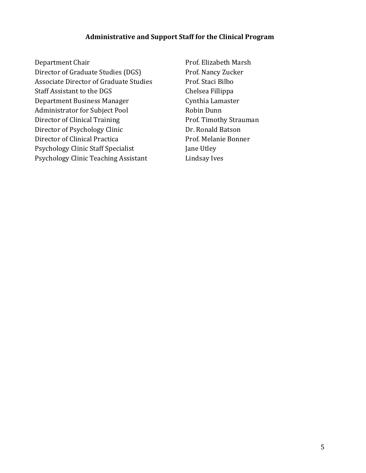## **Administrative and Support Staff for the Clinical Program**

Department Chair **Prof.** Elizabeth Marsh Director of Graduate Studies (DGS) Prof. Nancy Zucker Associate Director of Graduate Studies Prof. Staci Bilbo Staff Assistant to the DGS Chelsea Fillippa Department Business Manager Cynthia Lamaster Administrator for Subject Pool Robin Dunn Director of Clinical Training Prof. Timothy Strauman Director of Psychology Clinic Dr. Ronald Batson Director of Clinical Practica **Prof.** Melanie Bonner Psychology Clinic Staff Specialist Jane Utley Psychology Clinic Teaching Assistant Lindsay Ives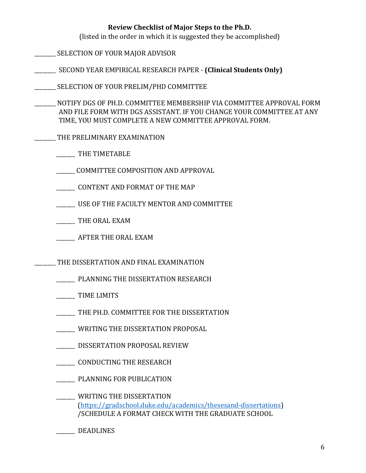## **Review Checklist of Major Steps to the Ph.D.**

(listed in the order in which it is suggested they be accomplished)

- SELECTION OF YOUR MAJOR ADVISOR
- **\_\_\_\_\_\_\_\_\_** SECOND YEAR EMPIRICAL RESEARCH PAPER **(Clinical Students Only)**
- \_\_\_\_\_\_\_\_\_ SELECTION OF YOUR PRELIM/PHD COMMITTEE
- NOTIFY DGS OF PH.D. COMMITTEE MEMBERSHIP VIA COMMITTEE APPROVAL FORM AND FILE FORM WITH DGS ASSISTANT. IF YOU CHANGE YOUR COMMITTEE AT ANY TIME, YOU MUST COMPLETE A NEW COMMITTEE APPROVAL FORM.
- THE PRELIMINARY EXAMINATION
	- \_\_\_\_\_\_\_ THE TIMETABLE
	- COMMITTEE COMPOSITION AND APPROVAL
	- CONTENT AND FORMAT OF THE MAP
	- USE OF THE FACULTY MENTOR AND COMMITTEE
	- THE ORAL EXAM
	- AFTER THE ORAL EXAM
- THE DISSERTATION AND FINAL EXAMINATION
	- \_\_\_\_\_\_\_\_\_\_\_ PLANNING THE DISSERTATION RESEARCH
	- TIME LIMITS
	- \_\_\_\_\_\_\_\_\_ THE PH.D. COMMITTEE FOR THE DISSERTATION
	- WRITING THE DISSERTATION PROPOSAL
	- \_\_\_\_\_\_\_ DISSERTATION PROPOSAL REVIEW
	- \_\_\_\_\_\_\_\_\_ CONDUCTING THE RESEARCH
	- **\_\_\_\_\_\_\_\_\_\_\_ PLANNING FOR PUBLICATION**
	- \_\_\_\_\_\_\_ WRITING THE DISSERTATION (https://gradschool.duke.edu/academics/thesesand-dissertations) /SCHEDULE A FORMAT CHECK WITH THE GRADUATE SCHOOL
	- \_\_\_\_\_\_\_\_ DEADLINES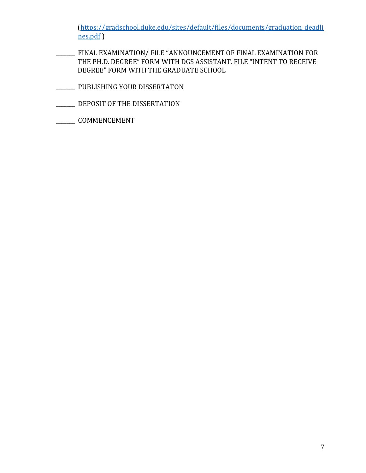(https://gradschool.duke.edu/sites/default/files/documents/graduation\_deadli nes.pdf ) 

- FINAL EXAMINATION/ FILE "ANNOUNCEMENT OF FINAL EXAMINATION FOR THE PH.D. DEGREE" FORM WITH DGS ASSISTANT. FILE "INTENT TO RECEIVE DEGREE" FORM WITH THE GRADUATE SCHOOL
- \_\_\_\_\_\_\_ PUBLISHING YOUR DISSERTATON
- \_\_\_\_\_\_\_\_\_ DEPOSIT OF THE DISSERTATION
- \_\_\_\_\_\_\_ COMMENCEMENT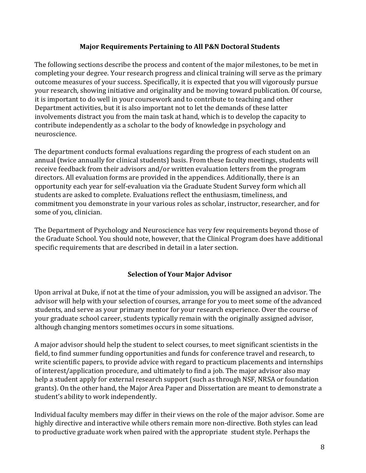## **Major Requirements Pertaining to All P&N Doctoral Students**

The following sections describe the process and content of the major milestones, to be met in completing your degree. Your research progress and clinical training will serve as the primary outcome measures of your success. Specifically, it is expected that you will vigorously pursue your research, showing initiative and originality and be moving toward publication. Of course, it is important to do well in your coursework and to contribute to teaching and other Department activities, but it is also important not to let the demands of these latter involvements distract you from the main task at hand, which is to develop the capacity to contribute independently as a scholar to the body of knowledge in psychology and neuroscience. 

The department conducts formal evaluations regarding the progress of each student on an annual (twice annually for clinical students) basis. From these faculty meetings, students will receive feedback from their advisors and/or written evaluation letters from the program directors. All evaluation forms are provided in the appendices. Additionally, there is an opportunity each year for self-evaluation via the Graduate Student Survey form which all students are asked to complete. Evaluations reflect the enthusiasm, timeliness, and commitment you demonstrate in your various roles as scholar, instructor, researcher, and for some of you, clinician.

The Department of Psychology and Neuroscience has very few requirements beyond those of the Graduate School. You should note, however, that the Clinical Program does have additional specific requirements that are described in detail in a later section.

## **Selection of Your Major Advisor**

Upon arrival at Duke, if not at the time of your admission, you will be assigned an advisor. The advisor will help with your selection of courses, arrange for you to meet some of the advanced students, and serve as your primary mentor for your research experience. Over the course of your graduate school career, students typically remain with the originally assigned advisor, although changing mentors sometimes occurs in some situations.

A major advisor should help the student to select courses, to meet significant scientists in the field, to find summer funding opportunities and funds for conference travel and research, to write scientific papers, to provide advice with regard to practicum placements and internships of interest/application procedure, and ultimately to find a job. The major advisor also may help a student apply for external research support (such as through NSF, NRSA or foundation grants). On the other hand, the Major Area Paper and Dissertation are meant to demonstrate a student's ability to work independently.

Individual faculty members may differ in their views on the role of the major advisor. Some are highly directive and interactive while others remain more non-directive. Both styles can lead to productive graduate work when paired with the appropriate student style. Perhaps the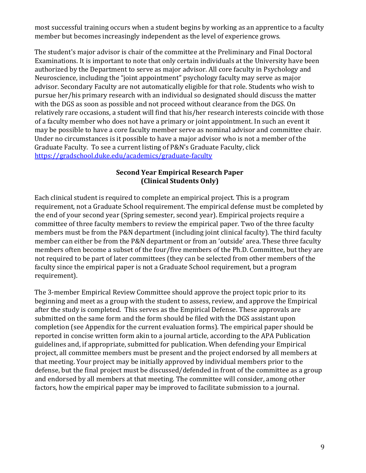most successful training occurs when a student begins by working as an apprentice to a faculty member but becomes increasingly independent as the level of experience grows.

The student's major advisor is chair of the committee at the Preliminary and Final Doctoral Examinations. It is important to note that only certain individuals at the University have been authorized by the Department to serve as major advisor. All core faculty in Psychology and Neuroscience, including the "joint appointment" psychology faculty may serve as major advisor. Secondary Faculty are not automatically eligible for that role. Students who wish to pursue her/his primary research with an individual so designated should discuss the matter with the DGS as soon as possible and not proceed without clearance from the DGS. On relatively rare occasions, a student will find that his/her research interests coincide with those of a faculty member who does not have a primary or joint appointment. In such an event it may be possible to have a core faculty member serve as nominal advisor and committee chair. Under no circumstances is it possible to have a major advisor who is not a member of the Graduate Faculty. To see a current listing of P&N's Graduate Faculty, click https://gradschool.duke.edu/academics/graduate-faculty

## **Second Year Empirical Research Paper (Clinical Students Only)**

Each clinical student is required to complete an empirical project. This is a program requirement, not a Graduate School requirement. The empirical defense must be completed by the end of your second year (Spring semester, second year). Empirical projects require a committee of three faculty members to review the empirical paper. Two of the three faculty members must be from the P&N department (including joint clinical faculty). The third faculty member can either be from the P&N department or from an 'outside' area. These three faculty members often become a subset of the four/five members of the Ph.D. Committee, but they are not required to be part of later committees (they can be selected from other members of the faculty since the empirical paper is not a Graduate School requirement, but a program requirement). 

The 3-member Empirical Review Committee should approve the project topic prior to its beginning and meet as a group with the student to assess, review, and approve the Empirical after the study is completed. This serves as the Empirical Defense. These approvals are submitted on the same form and the form should be filed with the DGS assistant upon completion (see Appendix for the current evaluation forms). The empirical paper should be reported in concise written form akin to a journal article, according to the APA Publication guidelines and, if appropriate, submitted for publication. When defending your Empirical project, all committee members must be present and the project endorsed by all members at that meeting. Your project may be initially approved by individual members prior to the defense, but the final project must be discussed/defended in front of the committee as a group and endorsed by all members at that meeting. The committee will consider, among other factors, how the empirical paper may be improved to facilitate submission to a journal.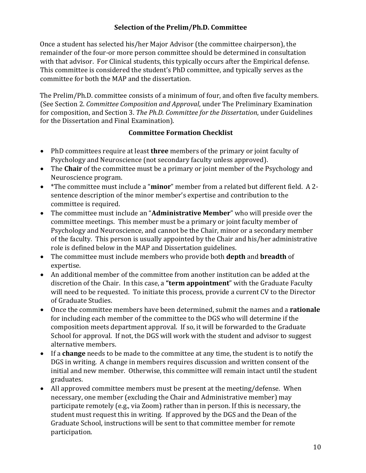## **Selection of the Prelim/Ph.D. Committee**

Once a student has selected his/her Major Advisor (the committee chairperson), the remainder of the four-or more person committee should be determined in consultation with that advisor. For Clinical students, this typically occurs after the Empirical defense. This committee is considered the student's PhD committee, and typically serves as the committee for both the MAP and the dissertation.

The Prelim/Ph.D. committee consists of a minimum of four, and often five faculty members. (See Section 2. *Committee Composition and Approval*, under The Preliminary Examination for composition, and Section 3. *The Ph.D. Committee for the Dissertation*, under Guidelines for the Dissertation and Final Examination).

## **Committee Formation Checklist**

- PhD committees require at least **three** members of the primary or joint faculty of Psychology and Neuroscience (not secondary faculty unless approved).
- The **Chair** of the committee must be a primary or joint member of the Psychology and Neuroscience program.
- \*The committee must include a "**minor**" member from a related but different field. A 2sentence description of the minor member's expertise and contribution to the committee is required.
- The committee must include an "**Administrative Member**" who will preside over the committee meetings. This member must be a primary or joint faculty member of Psychology and Neuroscience, and cannot be the Chair, minor or a secondary member of the faculty. This person is usually appointed by the Chair and his/her administrative role is defined below in the MAP and Dissertation guidelines.
- The committee must include members who provide both **depth** and **breadth** of expertise.
- An additional member of the committee from another institution can be added at the discretion of the Chair. In this case, a "term appointment" with the Graduate Faculty will need to be requested. To initiate this process, provide a current CV to the Director of Graduate Studies.
- Once the committee members have been determined, submit the names and a **rationale** for including each member of the committee to the DGS who will determine if the composition meets department approval. If so, it will be forwarded to the Graduate School for approval. If not, the DGS will work with the student and advisor to suggest alternative members.
- If a **change** needs to be made to the committee at any time, the student is to notify the DGS in writing. A change in members requires discussion and written consent of the initial and new member. Otherwise, this committee will remain intact until the student graduates.
- All approved committee members must be present at the meeting/defense. When necessary, one member (excluding the Chair and Administrative member) may participate remotely (e.g., via Zoom) rather than in person. If this is necessary, the student must request this in writing. If approved by the DGS and the Dean of the Graduate School, instructions will be sent to that committee member for remote participation.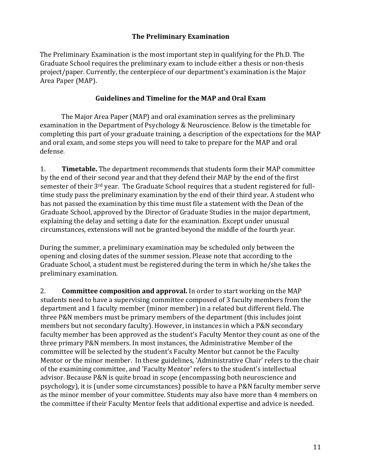## **The Preliminary Examination**

The Preliminary Examination is the most important step in qualifying for the Ph.D. The Graduate School requires the preliminary exam to include either a thesis or non-thesis project/paper. Currently, the centerpiece of our department's examination is the Major Area Paper (MAP).

## Guidelines and Timeline for the MAP and Oral Exam

The Major Area Paper (MAP) and oral examination serves as the preliminary examination in the Department of Psychology & Neuroscience. Below is the timetable for completing this part of your graduate training, a description of the expectations for the MAP and oral exam, and some steps you will need to take to prepare for the MAP and oral defense. 

1. **Timetable.** The department recommends that students form their MAP committee by the end of their second year and that they defend their MAP by the end of the first semester of their 3<sup>rd</sup> year. The Graduate School requires that a student registered for fulltime study pass the preliminary examination by the end of their third year. A student who has not passed the examination by this time must file a statement with the Dean of the Graduate School, approved by the Director of Graduate Studies in the major department, explaining the delay and setting a date for the examination. Except under unusual circumstances, extensions will not be granted beyond the middle of the fourth year.

During the summer, a preliminary examination may be scheduled only between the opening and closing dates of the summer session. Please note that according to the Graduate School, a student must be registered during the term in which he/she takes the preliminary examination.

2. **Committee composition and approval.** In order to start working on the MAP students need to have a supervising committee composed of 3 faculty members from the department and 1 faculty member (minor member) in a related but different field. The three P&N members must be primary members of the department (this includes joint members but not secondary faculty). However, in instances in which a P&N secondary faculty member has been approved as the student's Faculty Mentor they count as one of the three primary P&N members. In most instances, the Administrative Member of the committee will be selected by the student's Faculty Mentor but cannot be the Faculty Mentor or the minor member. In these guidelines, 'Administrative Chair' refers to the chair of the examining committee, and 'Faculty Mentor' refers to the student's intellectual advisor. Because P&N is quite broad in scope (encompassing both neuroscience and psychology), it is (under some circumstances) possible to have a P&N faculty member serve as the minor member of your committee. Students may also have more than 4 members on the committee if their Faculty Mentor feels that additional expertise and advice is needed.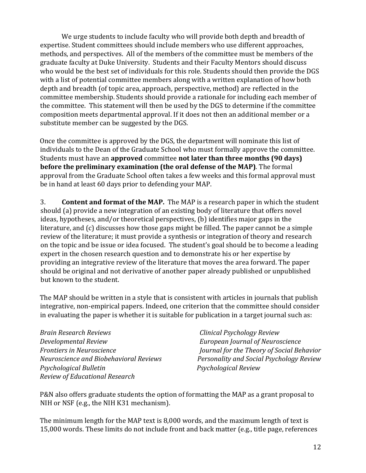We urge students to include faculty who will provide both depth and breadth of expertise. Student committees should include members who use different approaches, methods, and perspectives. All of the members of the committee must be members of the graduate faculty at Duke University. Students and their Faculty Mentors should discuss who would be the best set of individuals for this role. Students should then provide the DGS with a list of potential committee members along with a written explanation of how both depth and breadth (of topic area, approach, perspective, method) are reflected in the committee membership. Students should provide a rationale for including each member of the committee. This statement will then be used by the DGS to determine if the committee composition meets departmental approval. If it does not then an additional member or a substitute member can be suggested by the DGS.

Once the committee is approved by the DGS, the department will nominate this list of individuals to the Dean of the Graduate School who must formally approve the committee. Students must have an **approved** committee **not later than three months (90 days) before the preliminary examination (the oral defense of the MAP)**. The formal approval from the Graduate School often takes a few weeks and this formal approval must be in hand at least 60 days prior to defending your MAP.

3. **Content and format of the MAP.** The MAP is a research paper in which the student should (a) provide a new integration of an existing body of literature that offers novel ideas, hypotheses, and/or theoretical perspectives, (b) identifies major gaps in the literature, and  $(c)$  discusses how those gaps might be filled. The paper cannot be a simple review of the literature; it must provide a synthesis or integration of theory and research on the topic and be issue or idea focused. The student's goal should be to become a leading expert in the chosen research question and to demonstrate his or her expertise by providing an integrative review of the literature that moves the area forward. The paper should be original and not derivative of another paper already published or unpublished but known to the student.

The MAP should be written in a style that is consistent with articles in journals that publish integrative, non-empirical papers. Indeed, one criterion that the committee should consider in evaluating the paper is whether it is suitable for publication in a target journal such as:

**Brain Research Reviews** *Clinical Psychology Review* **Developmental Review** *COVEC <b>EU EUPOPEAN JOURNAL SEUPOPEAN INCORPORAGE EUROPEAN INCORPORAGE EUROPEAN INCORPORAGE EUROPEAN INCORPORAGE EUROPEAN INCORPORAGE EUROPEAN INCORPORAGE EUROPEAN INCORPORAGE EUROPEAN INCORPORAGE* **Psychological Bulletin** *Psychological Review Review of Educational Research* 

*Frontiers* in Neuroscience *Journal for the Theory of Social Behavior Neuroscience and Biobehavioral Reviews Personality and Social Psychology Review* 

P&N also offers graduate students the option of formatting the MAP as a grant proposal to NIH or NSF (e.g., the NIH K31 mechanism).

The minimum length for the MAP text is 8,000 words, and the maximum length of text is 15,000 words. These limits do not include front and back matter (e.g., title page, references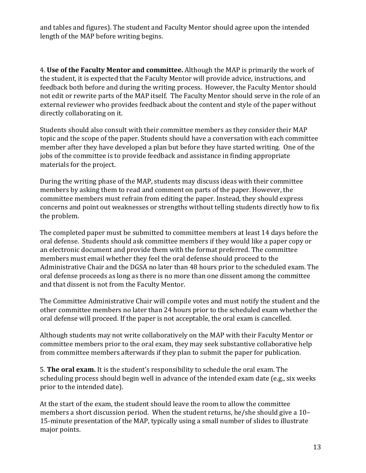and tables and figures). The student and Faculty Mentor should agree upon the intended length of the MAP before writing begins.

4. **Use of the Faculty Mentor and committee.** Although the MAP is primarily the work of the student, it is expected that the Faculty Mentor will provide advice, instructions, and feedback both before and during the writing process. However, the Faculty Mentor should not edit or rewrite parts of the MAP itself. The Faculty Mentor should serve in the role of an external reviewer who provides feedback about the content and style of the paper without directly collaborating on it.

Students should also consult with their committee members as they consider their MAP topic and the scope of the paper. Students should have a conversation with each committee member after they have developed a plan but before they have started writing. One of the jobs of the committee is to provide feedback and assistance in finding appropriate materials for the project.

During the writing phase of the MAP, students may discuss ideas with their committee members by asking them to read and comment on parts of the paper. However, the committee members must refrain from editing the paper. Instead, they should express concerns and point out weaknesses or strengths without telling students directly how to fix the problem.

The completed paper must be submitted to committee members at least 14 days before the oral defense. Students should ask committee members if they would like a paper copy or an electronic document and provide them with the format preferred. The committee members must email whether they feel the oral defense should proceed to the Administrative Chair and the DGSA no later than 48 hours prior to the scheduled exam. The oral defense proceeds as long as there is no more than one dissent among the committee and that dissent is not from the Faculty Mentor.

The Committee Administrative Chair will compile votes and must notify the student and the other committee members no later than 24 hours prior to the scheduled exam whether the oral defense will proceed. If the paper is not acceptable, the oral exam is cancelled.

Although students may not write collaboratively on the MAP with their Faculty Mentor or committee members prior to the oral exam, they may seek substantive collaborative help from committee members afterwards if they plan to submit the paper for publication.

**5. The oral exam.** It is the student's responsibility to schedule the oral exam. The scheduling process should begin well in advance of the intended exam date (e.g., six weeks prior to the intended date).

At the start of the exam, the student should leave the room to allow the committee members a short discussion period. When the student returns, he/she should give a  $10-$ 15-minute presentation of the MAP, typically using a small number of slides to illustrate major points.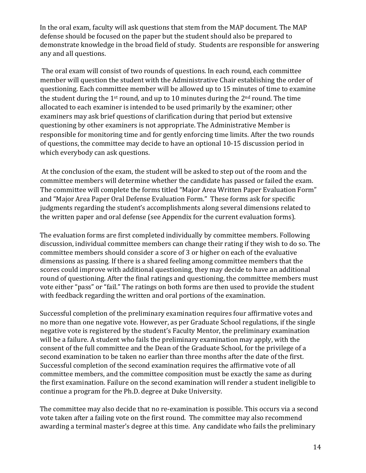In the oral exam, faculty will ask questions that stem from the MAP document. The MAP defense should be focused on the paper but the student should also be prepared to demonstrate knowledge in the broad field of study. Students are responsible for answering any and all questions.

The oral exam will consist of two rounds of questions. In each round, each committee member will question the student with the Administrative Chair establishing the order of questioning. Each committee member will be allowed up to 15 minutes of time to examine the student during the  $1^{st}$  round, and up to 10 minutes during the  $2^{nd}$  round. The time allocated to each examiner is intended to be used primarily by the examiner; other examiners may ask brief questions of clarification during that period but extensive questioning by other examiners is not appropriate. The Administrative Member is responsible for monitoring time and for gently enforcing time limits. After the two rounds of questions, the committee may decide to have an optional 10-15 discussion period in which everybody can ask questions.

At the conclusion of the exam, the student will be asked to step out of the room and the committee members will determine whether the candidate has passed or failed the exam. The committee will complete the forms titled "Major Area Written Paper Evaluation Form" and "Major Area Paper Oral Defense Evaluation Form." These forms ask for specific judgments regarding the student's accomplishments along several dimensions related to the written paper and oral defense (see Appendix for the current evaluation forms).

The evaluation forms are first completed individually by committee members. Following discussion, individual committee members can change their rating if they wish to do so. The committee members should consider a score of 3 or higher on each of the evaluative dimensions as passing. If there is a shared feeling among committee members that the scores could improve with additional questioning, they may decide to have an additional round of questioning. After the final ratings and questioning, the committee members must vote either "pass" or "fail." The ratings on both forms are then used to provide the student with feedback regarding the written and oral portions of the examination.

Successful completion of the preliminary examination requires four affirmative votes and no more than one negative vote. However, as per Graduate School regulations, if the single negative vote is registered by the student's Faculty Mentor, the preliminary examination will be a failure. A student who fails the preliminary examination may apply, with the consent of the full committee and the Dean of the Graduate School, for the privilege of a second examination to be taken no earlier than three months after the date of the first. Successful completion of the second examination requires the affirmative vote of all committee members, and the committee composition must be exactly the same as during the first examination. Failure on the second examination will render a student ineligible to continue a program for the Ph.D. degree at Duke University.

The committee may also decide that no re-examination is possible. This occurs via a second vote taken after a failing vote on the first round. The committee may also recommend awarding a terminal master's degree at this time. Any candidate who fails the preliminary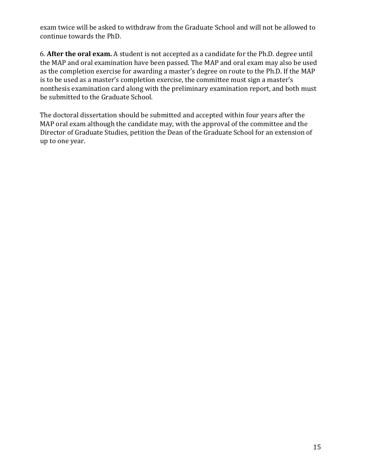exam twice will be asked to withdraw from the Graduate School and will not be allowed to continue towards the PhD.

6. After the oral exam. A student is not accepted as a candidate for the Ph.D. degree until the MAP and oral examination have been passed. The MAP and oral exam may also be used as the completion exercise for awarding a master's degree on route to the Ph.D. If the MAP is to be used as a master's completion exercise, the committee must sign a master's nonthesis examination card along with the preliminary examination report, and both must be submitted to the Graduate School.

The doctoral dissertation should be submitted and accepted within four years after the MAP oral exam although the candidate may, with the approval of the committee and the Director of Graduate Studies, petition the Dean of the Graduate School for an extension of up to one year.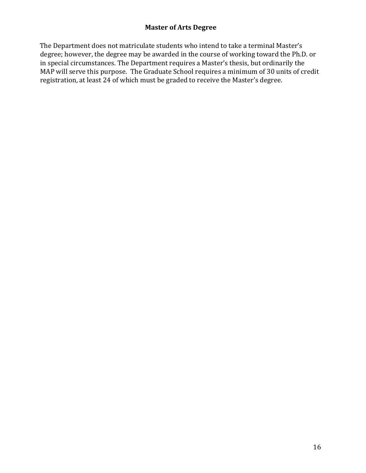# **Master of Arts Degree**

The Department does not matriculate students who intend to take a terminal Master's degree; however, the degree may be awarded in the course of working toward the Ph.D. or in special circumstances. The Department requires a Master's thesis, but ordinarily the MAP will serve this purpose. The Graduate School requires a minimum of 30 units of credit registration, at least 24 of which must be graded to receive the Master's degree.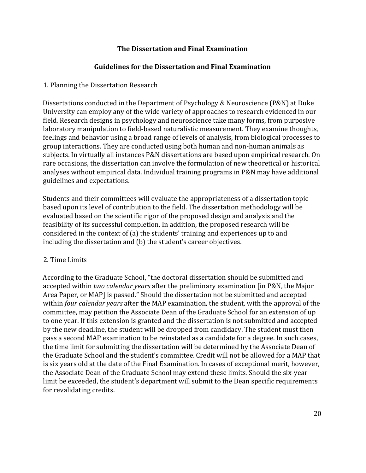## **The Dissertation and Final Examination**

## **Guidelines for the Dissertation and Final Examination**

## 1. Planning the Dissertation Research

Dissertations conducted in the Department of Psychology & Neuroscience (P&N) at Duke University can employ any of the wide variety of approaches to research evidenced in our field. Research designs in psychology and neuroscience take many forms, from purposive laboratory manipulation to field-based naturalistic measurement. They examine thoughts, feelings and behavior using a broad range of levels of analysis, from biological processes to group interactions. They are conducted using both human and non-human animals as subjects. In virtually all instances P&N dissertations are based upon empirical research. On rare occasions, the dissertation can involve the formulation of new theoretical or historical analyses without empirical data. Individual training programs in P&N may have additional guidelines and expectations.

Students and their committees will evaluate the appropriateness of a dissertation topic based upon its level of contribution to the field. The dissertation methodology will be evaluated based on the scientific rigor of the proposed design and analysis and the feasibility of its successful completion. In addition, the proposed research will be considered in the context of (a) the students' training and experiences up to and including the dissertation and (b) the student's career objectives.

## 2. Time Limits

According to the Graduate School, "the doctoral dissertation should be submitted and accepted within *two calendar years* after the preliminary examination [in P&N, the Major Area Paper, or MAP] is passed." Should the dissertation not be submitted and accepted within *four calendar years* after the MAP examination, the student, with the approval of the committee, may petition the Associate Dean of the Graduate School for an extension of up to one year. If this extension is granted and the dissertation is not submitted and accepted by the new deadline, the student will be dropped from candidacy. The student must then pass a second MAP examination to be reinstated as a candidate for a degree. In such cases, the time limit for submitting the dissertation will be determined by the Associate Dean of the Graduate School and the student's committee. Credit will not be allowed for a MAP that is six years old at the date of the Final Examination. In cases of exceptional merit, however, the Associate Dean of the Graduate School may extend these limits. Should the six-year limit be exceeded, the student's department will submit to the Dean specific requirements for revalidating credits.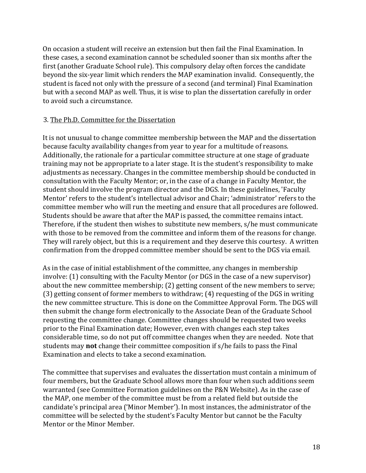On occasion a student will receive an extension but then fail the Final Examination. In these cases, a second examination cannot be scheduled sooner than six months after the first (another Graduate School rule). This compulsory delay often forces the candidate beyond the six-year limit which renders the MAP examination invalid. Consequently, the student is faced not only with the pressure of a second (and terminal) Final Examination but with a second MAP as well. Thus, it is wise to plan the dissertation carefully in order to avoid such a circumstance.

#### 3. The Ph.D. Committee for the Dissertation

It is not unusual to change committee membership between the MAP and the dissertation because faculty availability changes from year to year for a multitude of reasons. Additionally, the rationale for a particular committee structure at one stage of graduate training may not be appropriate to a later stage. It is the student's responsibility to make adjustments as necessary. Changes in the committee membership should be conducted in consultation with the Faculty Mentor; or, in the case of a change in Faculty Mentor, the student should involve the program director and the DGS. In these guidelines, 'Faculty Mentor' refers to the student's intellectual advisor and Chair; 'administrator' refers to the committee member who will run the meeting and ensure that all procedures are followed. Students should be aware that after the MAP is passed, the committee remains intact. Therefore, if the student then wishes to substitute new members, s/he must communicate with those to be removed from the committee and inform them of the reasons for change. They will rarely object, but this is a requirement and they deserve this courtesy. A written confirmation from the dropped committee member should be sent to the DGS via email.

As in the case of initial establishment of the committee, any changes in membership involve: (1) consulting with the Faculty Mentor (or DGS in the case of a new supervisor) about the new committee membership; (2) getting consent of the new members to serve; (3) getting consent of former members to withdraw; (4) requesting of the DGS in writing the new committee structure. This is done on the Committee Approval Form. The DGS will then submit the change form electronically to the Associate Dean of the Graduate School requesting the committee change. Committee changes should be requested two weeks prior to the Final Examination date; However, even with changes each step takes considerable time, so do not put off committee changes when they are needed. Note that students may **not** change their committee composition if s/he fails to pass the Final Examination and elects to take a second examination.

The committee that supervises and evaluates the dissertation must contain a minimum of four members, but the Graduate School allows more than four when such additions seem warranted (see Committee Formation guidelines on the P&N Website). As in the case of the MAP, one member of the committee must be from a related field but outside the candidate's principal area ('Minor Member'). In most instances, the administrator of the committee will be selected by the student's Faculty Mentor but cannot be the Faculty Mentor or the Minor Member.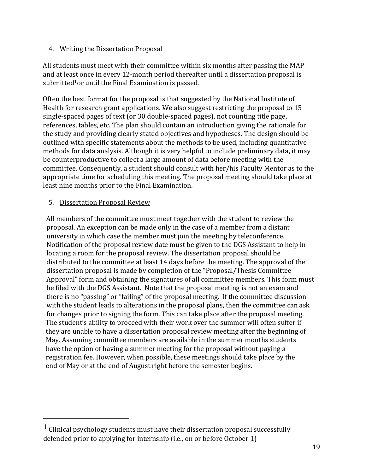## 4. Writing the Dissertation Proposal

All students must meet with their committee within six months after passing the MAP and at least once in every 12-month period thereafter until a dissertation proposal is submitted<sup>1</sup>or until the Final Examination is passed.

Often the best format for the proposal is that suggested by the National Institute of Health for research grant applications. We also suggest restricting the proposal to 15 single-spaced pages of text (or 30 double-spaced pages), not counting title page, references, tables, etc. The plan should contain an introduction giving the rationale for the study and providing clearly stated objectives and hypotheses. The design should be outlined with specific statements about the methods to be used, including quantitative methods for data analysis. Although it is very helpful to include preliminary data, it may be counterproductive to collect a large amount of data before meeting with the committee. Consequently, a student should consult with her/his Faculty Mentor as to the appropriate time for scheduling this meeting. The proposal meeting should take place at least nine months prior to the Final Examination.

## 5. Dissertation Proposal Review

All members of the committee must meet together with the student to review the proposal. An exception can be made only in the case of a member from a distant university in which case the member must join the meeting by teleconference. Notification of the proposal review date must be given to the DGS Assistant to help in locating a room for the proposal review. The dissertation proposal should be distributed to the committee at least 14 days before the meeting. The approval of the dissertation proposal is made by completion of the "Proposal/Thesis Committee Approval" form and obtaining the signatures of all committee members. This form must be filed with the DGS Assistant. Note that the proposal meeting is not an exam and there is no "passing" or "failing" of the proposal meeting. If the committee discussion with the student leads to alterations in the proposal plans, then the committee can ask for changes prior to signing the form. This can take place after the proposal meeting. The student's ability to proceed with their work over the summer will often suffer if they are unable to have a dissertation proposal review meeting after the beginning of May. Assuming committee members are available in the summer months students have the option of having a summer meeting for the proposal without paying a registration fee. However, when possible, these meetings should take place by the end of May or at the end of August right before the semester begins.

 $1$  Clinical psychology students must have their dissertation proposal successfully defended prior to applying for internship (i.e., on or before October 1)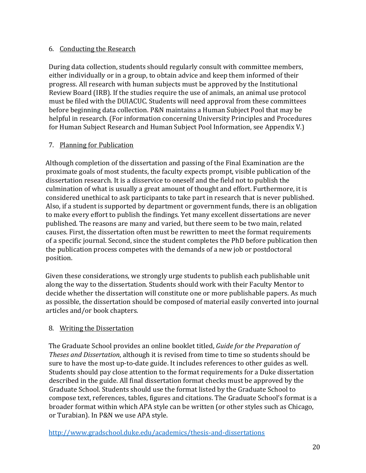## 6. Conducting the Research

During data collection, students should regularly consult with committee members, either individually or in a group, to obtain advice and keep them informed of their progress. All research with human subjects must be approved by the Institutional Review Board (IRB). If the studies require the use of animals, an animal use protocol must be filed with the DUIACUC. Students will need approval from these committees before beginning data collection. P&N maintains a Human Subject Pool that may be helpful in research. (For information concerning University Principles and Procedures for Human Subject Research and Human Subject Pool Information, see Appendix V.)

# 7. Planning for Publication

Although completion of the dissertation and passing of the Final Examination are the proximate goals of most students, the faculty expects prompt, visible publication of the dissertation research. It is a disservice to oneself and the field not to publish the culmination of what is usually a great amount of thought and effort. Furthermore, it is considered unethical to ask participants to take part in research that is never published. Also, if a student is supported by department or government funds, there is an obligation to make every effort to publish the findings. Yet many excellent dissertations are never published. The reasons are many and varied, but there seem to be two main, related causes. First, the dissertation often must be rewritten to meet the format requirements of a specific journal. Second, since the student completes the PhD before publication then the publication process competes with the demands of a new job or postdoctoral position. 

Given these considerations, we strongly urge students to publish each publishable unit along the way to the dissertation. Students should work with their Faculty Mentor to decide whether the dissertation will constitute one or more publishable papers. As much as possible, the dissertation should be composed of material easily converted into journal articles and/or book chapters.

# 8. Writing the Dissertation

The Graduate School provides an online booklet titled, *Guide for the Preparation of Theses and Dissertation*, although it is revised from time to time so students should be sure to have the most up-to-date guide. It includes references to other guides as well. Students should pay close attention to the format requirements for a Duke dissertation described in the guide. All final dissertation format checks must be approved by the Graduate School. Students should use the format listed by the Graduate School to compose text, references, tables, figures and citations. The Graduate School's format is a broader format within which APA style can be written (or other styles such as Chicago, or Turabian). In P&N we use APA style.

http://www.gradschool.duke.edu/academics/thesis-and-dissertations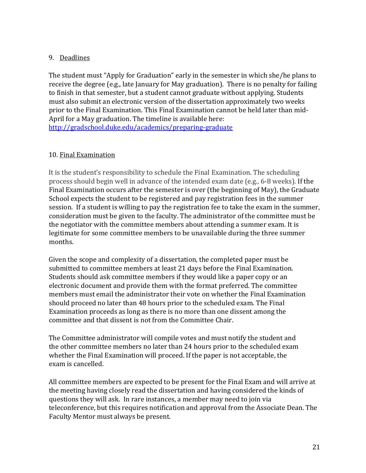# 9. Deadlines

The student must "Apply for Graduation" early in the semester in which she/he plans to receive the degree (e.g., late January for May graduation). There is no penalty for failing to finish in that semester, but a student cannot graduate without applying. Students must also submit an electronic version of the dissertation approximately two weeks prior to the Final Examination. This Final Examination cannot be held later than mid-April for a May graduation. The timeline is available here: http://gradschool.duke.edu/academics/preparing-graduate

## 10. Final Examination

It is the student's responsibility to schedule the Final Examination. The scheduling process should begin well in advance of the intended exam date (e.g., 6-8 weeks). If the Final Examination occurs after the semester is over (the beginning of May), the Graduate School expects the student to be registered and pay registration fees in the summer session. If a student is willing to pay the registration fee to take the exam in the summer, consideration must be given to the faculty. The administrator of the committee must be the negotiator with the committee members about attending a summer exam. It is legitimate for some committee members to be unavailable during the three summer months. 

Given the scope and complexity of a dissertation, the completed paper must be submitted to committee members at least 21 days before the Final Examination. Students should ask committee members if they would like a paper copy or an electronic document and provide them with the format preferred. The committee members must email the administrator their vote on whether the Final Examination should proceed no later than 48 hours prior to the scheduled exam. The Final Examination proceeds as long as there is no more than one dissent among the committee and that dissent is not from the Committee Chair.

The Committee administrator will compile votes and must notify the student and the other committee members no later than 24 hours prior to the scheduled exam whether the Final Examination will proceed. If the paper is not acceptable, the exam is cancelled.

All committee members are expected to be present for the Final Exam and will arrive at the meeting having closely read the dissertation and having considered the kinds of questions they will ask. In rare instances, a member may need to join via teleconference, but this requires notification and approval from the Associate Dean. The Faculty Mentor must always be present.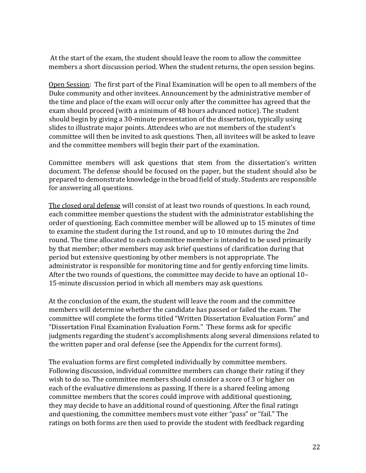At the start of the exam, the student should leave the room to allow the committee members a short discussion period. When the student returns, the open session begins.

Open Session: The first part of the Final Examination will be open to all members of the Duke community and other invitees. Announcement by the administrative member of the time and place of the exam will occur only after the committee has agreed that the exam should proceed (with a minimum of 48 hours advanced notice). The student should begin by giving a 30-minute presentation of the dissertation, typically using slides to illustrate major points. Attendees who are not members of the student's committee will then be invited to ask questions. Then, all invitees will be asked to leave and the committee members will begin their part of the examination.

Committee members will ask questions that stem from the dissertation's written document. The defense should be focused on the paper, but the student should also be prepared to demonstrate knowledge in the broad field of study. Students are responsible for answering all questions.

The closed oral defense will consist of at least two rounds of questions. In each round, each committee member questions the student with the administrator establishing the order of questioning. Each committee member will be allowed up to 15 minutes of time to examine the student during the 1st round, and up to 10 minutes during the 2nd round. The time allocated to each committee member is intended to be used primarily by that member; other members may ask brief questions of clarification during that period but extensive questioning by other members is not appropriate. The administrator is responsible for monitoring time and for gently enforcing time limits. After the two rounds of questions, the committee may decide to have an optional 10-15-minute discussion period in which all members may ask questions.

At the conclusion of the exam, the student will leave the room and the committee members will determine whether the candidate has passed or failed the exam. The committee will complete the forms titled "Written Dissertation Evaluation Form" and "Dissertation Final Examination Evaluation Form." These forms ask for specific judgments regarding the student's accomplishments along several dimensions related to the written paper and oral defense (see the Appendix for the current forms).

The evaluation forms are first completed individually by committee members. Following discussion, individual committee members can change their rating if they wish to do so. The committee members should consider a score of 3 or higher on each of the evaluative dimensions as passing. If there is a shared feeling among committee members that the scores could improve with additional questioning, they may decide to have an additional round of questioning. After the final ratings and questioning, the committee members must vote either "pass" or "fail." The ratings on both forms are then used to provide the student with feedback regarding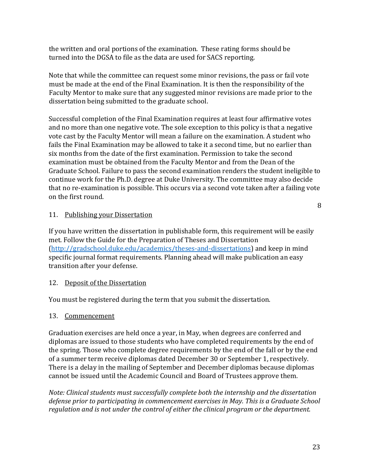the written and oral portions of the examination. These rating forms should be turned into the DGSA to file as the data are used for SACS reporting.

Note that while the committee can request some minor revisions, the pass or fail vote must be made at the end of the Final Examination. It is then the responsibility of the Faculty Mentor to make sure that any suggested minor revisions are made prior to the dissertation being submitted to the graduate school.

Successful completion of the Final Examination requires at least four affirmative votes and no more than one negative vote. The sole exception to this policy is that a negative vote cast by the Faculty Mentor will mean a failure on the examination. A student who fails the Final Examination may be allowed to take it a second time, but no earlier than six months from the date of the first examination. Permission to take the second examination must be obtained from the Faculty Mentor and from the Dean of the Graduate School. Failure to pass the second examination renders the student ineligible to continue work for the Ph.D. degree at Duke University. The committee may also decide that no re-examination is possible. This occurs via a second vote taken after a failing vote on the first round.

#### 11. Publishing your Dissertation

If you have written the dissertation in publishable form, this requirement will be easily met. Follow the Guide for the Preparation of Theses and Dissertation (http://gradschool.duke.edu/academics/theses-and-dissertations) and keep in mind specific journal format requirements. Planning ahead will make publication an easy transition after your defense.

#### 12. Deposit of the Dissertation

You must be registered during the term that you submit the dissertation.

#### 13. Commencement

Graduation exercises are held once a year, in May, when degrees are conferred and diplomas are issued to those students who have completed requirements by the end of the spring. Those who complete degree requirements by the end of the fall or by the end of a summer term receive diplomas dated December 30 or September 1, respectively. There is a delay in the mailing of September and December diplomas because diplomas cannot be issued until the Academic Council and Board of Trustees approve them.

*Note: Clinical students must successfully complete both the internship and the dissertation* defense prior to participating in commencement exercises in May. This is a Graduate School regulation and is not under the control of either the clinical program or the department.

8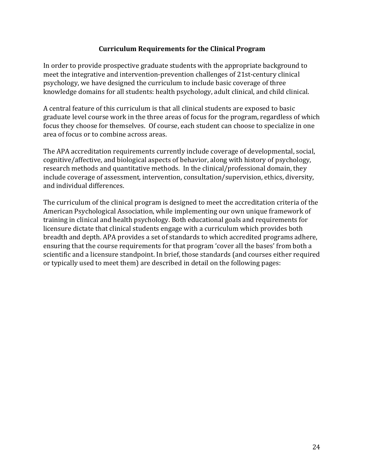## **Curriculum Requirements for the Clinical Program**

In order to provide prospective graduate students with the appropriate background to meet the integrative and intervention-prevention challenges of 21st-century clinical psychology, we have designed the curriculum to include basic coverage of three knowledge domains for all students: health psychology, adult clinical, and child clinical.

A central feature of this curriculum is that all clinical students are exposed to basic graduate level course work in the three areas of focus for the program, regardless of which focus they choose for themselves. Of course, each student can choose to specialize in one area of focus or to combine across areas.

The APA accreditation requirements currently include coverage of developmental, social, cognitive/affective, and biological aspects of behavior, along with history of psychology, research methods and quantitative methods. In the clinical/professional domain, they include coverage of assessment, intervention, consultation/supervision, ethics, diversity, and individual differences.

The curriculum of the clinical program is designed to meet the accreditation criteria of the American Psychological Association, while implementing our own unique framework of training in clinical and health psychology. Both educational goals and requirements for licensure dictate that clinical students engage with a curriculum which provides both breadth and depth. APA provides a set of standards to which accredited programs adhere, ensuring that the course requirements for that program 'cover all the bases' from both a scientific and a licensure standpoint. In brief, those standards (and courses either required or typically used to meet them) are described in detail on the following pages: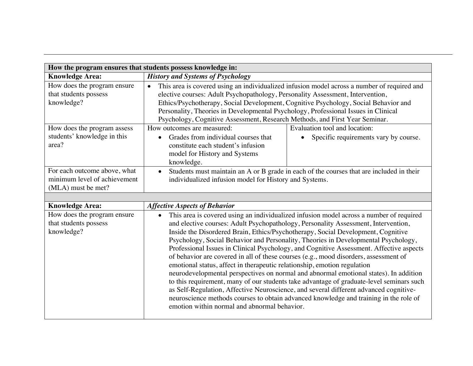| How the program ensures that students possess knowledge in:                        |                                                                                                                                                                                                                                                                                                                                                                                                                                           |                                                                                          |  |
|------------------------------------------------------------------------------------|-------------------------------------------------------------------------------------------------------------------------------------------------------------------------------------------------------------------------------------------------------------------------------------------------------------------------------------------------------------------------------------------------------------------------------------------|------------------------------------------------------------------------------------------|--|
| <b>Knowledge Area:</b>                                                             | <b>History and Systems of Psychology</b>                                                                                                                                                                                                                                                                                                                                                                                                  |                                                                                          |  |
| How does the program ensure<br>that students possess<br>knowledge?                 | This area is covered using an individualized infusion model across a number of required and<br>elective courses: Adult Psychopathology, Personality Assessment, Intervention,<br>Ethics/Psychotherapy, Social Development, Cognitive Psychology, Social Behavior and<br>Personality, Theories in Developmental Psychology, Professional Issues in Clinical<br>Psychology, Cognitive Assessment, Research Methods, and First Year Seminar. |                                                                                          |  |
| How does the program assess<br>students' knowledge in this<br>area?                | How outcomes are measured:<br>Grades from individual courses that<br>constitute each student's infusion<br>model for History and Systems<br>knowledge.                                                                                                                                                                                                                                                                                    | Evaluation tool and location:<br>Specific requirements vary by course.<br>$\bullet$      |  |
| For each outcome above, what<br>minimum level of achievement<br>(MLA) must be met? | $\bullet$<br>individualized infusion model for History and Systems.                                                                                                                                                                                                                                                                                                                                                                       | Students must maintain an A or B grade in each of the courses that are included in their |  |
| <b>Knowledge Area:</b>                                                             | <b>Affective Aspects of Behavior</b>                                                                                                                                                                                                                                                                                                                                                                                                      |                                                                                          |  |
| $TT = 1$                                                                           | .                                                                                                                                                                                                                                                                                                                                                                                                                                         | .                                                                                        |  |

| How does the program ensure | This area is covered using an individualized infusion model across a number of required<br>$\bullet$ |
|-----------------------------|------------------------------------------------------------------------------------------------------|
| that students possess       | and elective courses: Adult Psychopathology, Personality Assessment, Intervention,                   |
| knowledge?                  | Inside the Disordered Brain, Ethics/Psychotherapy, Social Development, Cognitive                     |
|                             | Psychology, Social Behavior and Personality, Theories in Developmental Psychology,                   |
|                             | Professional Issues in Clinical Psychology, and Cognitive Assessment. Affective aspects              |
|                             | of behavior are covered in all of these courses (e.g., mood disorders, assessment of                 |
|                             | emotional status, affect in therapeutic relationship, emotion regulation                             |
|                             | neurodevelopmental perspectives on normal and abnormal emotional states). In addition                |
|                             | to this requirement, many of our students take advantage of graduate-level seminars such             |
|                             | as Self-Regulation, Affective Neuroscience, and several different advanced cognitive-                |
|                             | neuroscience methods courses to obtain advanced knowledge and training in the role of                |
|                             | emotion within normal and abnormal behavior.                                                         |
|                             |                                                                                                      |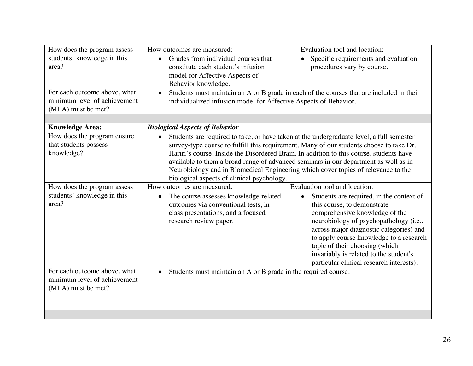| How does the program assess<br>students' knowledge in this<br>area?<br>For each outcome above, what | How outcomes are measured:<br>Grades from individual courses that<br>constitute each student's infusion<br>model for Affective Aspects of<br>Behavior knowledge.<br>$\bullet$                                                                                                                                                                                                                                                                                                                                          | Evaluation tool and location:<br>Specific requirements and evaluation<br>procedures vary by course.<br>Students must maintain an A or B grade in each of the courses that are included in their                                                                                                                                                                                                    |  |  |
|-----------------------------------------------------------------------------------------------------|------------------------------------------------------------------------------------------------------------------------------------------------------------------------------------------------------------------------------------------------------------------------------------------------------------------------------------------------------------------------------------------------------------------------------------------------------------------------------------------------------------------------|----------------------------------------------------------------------------------------------------------------------------------------------------------------------------------------------------------------------------------------------------------------------------------------------------------------------------------------------------------------------------------------------------|--|--|
| minimum level of achievement<br>(MLA) must be met?                                                  | individualized infusion model for Affective Aspects of Behavior.                                                                                                                                                                                                                                                                                                                                                                                                                                                       |                                                                                                                                                                                                                                                                                                                                                                                                    |  |  |
| <b>Knowledge Area:</b>                                                                              | <b>Biological Aspects of Behavior</b>                                                                                                                                                                                                                                                                                                                                                                                                                                                                                  |                                                                                                                                                                                                                                                                                                                                                                                                    |  |  |
| How does the program ensure<br>that students possess<br>knowledge?                                  | Students are required to take, or have taken at the undergraduate level, a full semester<br>$\bullet$<br>survey-type course to fulfill this requirement. Many of our students choose to take Dr.<br>Hariri's course, Inside the Disordered Brain. In addition to this course, students have<br>available to them a broad range of advanced seminars in our department as well as in<br>Neurobiology and in Biomedical Engineering which cover topics of relevance to the<br>biological aspects of clinical psychology. |                                                                                                                                                                                                                                                                                                                                                                                                    |  |  |
| How does the program assess<br>students' knowledge in this<br>area?                                 | How outcomes are measured:<br>The course assesses knowledge-related<br>$\bullet$<br>outcomes via conventional tests, in-<br>class presentations, and a focused<br>research review paper.                                                                                                                                                                                                                                                                                                                               | Evaluation tool and location:<br>Students are required, in the context of<br>this course, to demonstrate<br>comprehensive knowledge of the<br>neurobiology of psychopathology (i.e.,<br>across major diagnostic categories) and<br>to apply course knowledge to a research<br>topic of their choosing (which<br>invariably is related to the student's<br>particular clinical research interests). |  |  |
| For each outcome above, what<br>minimum level of achievement<br>(MLA) must be met?                  | Students must maintain an A or B grade in the required course.<br>$\bullet$                                                                                                                                                                                                                                                                                                                                                                                                                                            |                                                                                                                                                                                                                                                                                                                                                                                                    |  |  |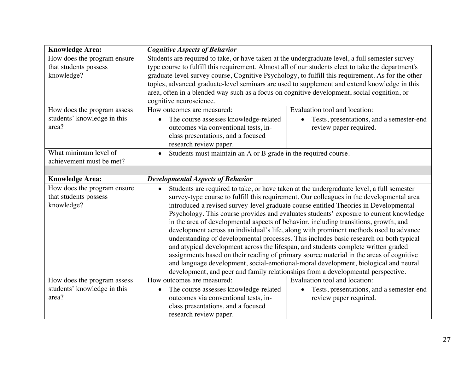| <b>Knowledge Area:</b>                                              | <b>Cognitive Aspects of Behavior</b>                                                                                                                                                                                                                                                                                                                                                                                                                                                                                                                                                                                                                                                                                                                                                                                                                                                                                                                                                                                       |  |  |  |
|---------------------------------------------------------------------|----------------------------------------------------------------------------------------------------------------------------------------------------------------------------------------------------------------------------------------------------------------------------------------------------------------------------------------------------------------------------------------------------------------------------------------------------------------------------------------------------------------------------------------------------------------------------------------------------------------------------------------------------------------------------------------------------------------------------------------------------------------------------------------------------------------------------------------------------------------------------------------------------------------------------------------------------------------------------------------------------------------------------|--|--|--|
| How does the program ensure<br>that students possess<br>knowledge?  | Students are required to take, or have taken at the undergraduate level, a full semester survey-<br>type course to fulfill this requirement. Almost all of our students elect to take the department's<br>graduate-level survey course, Cognitive Psychology, to fulfill this requirement. As for the other<br>topics, advanced graduate-level seminars are used to supplement and extend knowledge in this<br>area, often in a blended way such as a focus on cognitive development, social cognition, or<br>cognitive neuroscience.                                                                                                                                                                                                                                                                                                                                                                                                                                                                                      |  |  |  |
| How does the program assess<br>students' knowledge in this<br>area? | Evaluation tool and location:<br>How outcomes are measured:<br>The course assesses knowledge-related<br>Tests, presentations, and a semester-end<br>$\bullet$<br>outcomes via conventional tests, in-<br>review paper required.<br>class presentations, and a focused<br>research review paper.                                                                                                                                                                                                                                                                                                                                                                                                                                                                                                                                                                                                                                                                                                                            |  |  |  |
| What minimum level of<br>achievement must be met?                   | Students must maintain an A or B grade in the required course.<br>$\bullet$                                                                                                                                                                                                                                                                                                                                                                                                                                                                                                                                                                                                                                                                                                                                                                                                                                                                                                                                                |  |  |  |
| <b>Knowledge Area:</b>                                              | <b>Developmental Aspects of Behavior</b>                                                                                                                                                                                                                                                                                                                                                                                                                                                                                                                                                                                                                                                                                                                                                                                                                                                                                                                                                                                   |  |  |  |
| How does the program ensure<br>that students possess<br>knowledge?  | Students are required to take, or have taken at the undergraduate level, a full semester<br>$\bullet$<br>survey-type course to fulfill this requirement. Our colleagues in the developmental area<br>introduced a revised survey-level graduate course entitled Theories in Developmental<br>Psychology. This course provides and evaluates students' exposure to current knowledge<br>in the area of developmental aspects of behavior, including transitions, growth, and<br>development across an individual's life, along with prominent methods used to advance<br>understanding of developmental processes. This includes basic research on both typical<br>and atypical development across the lifespan, and students complete written graded<br>assignments based on their reading of primary source material in the areas of cognitive<br>and language development, social-emotional-moral development, biological and neural<br>development, and peer and family relationships from a developmental perspective. |  |  |  |
| How does the program assess<br>students' knowledge in this<br>area? | How outcomes are measured:<br>Evaluation tool and location:<br>The course assesses knowledge-related<br>Tests, presentations, and a semester-end<br>$\bullet$<br>outcomes via conventional tests, in-<br>review paper required.<br>class presentations, and a focused<br>research review paper.                                                                                                                                                                                                                                                                                                                                                                                                                                                                                                                                                                                                                                                                                                                            |  |  |  |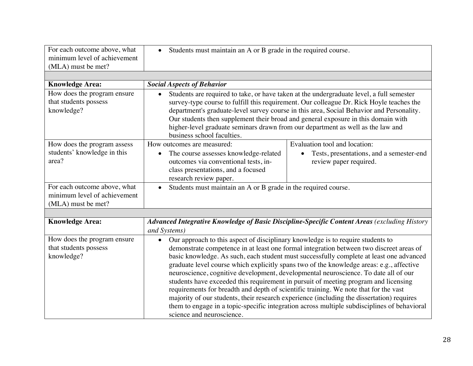| For each outcome above, what<br>minimum level of achievement<br>(MLA) must be met? | • Students must maintain an A or B grade in the required course.                                                                                                                                                                                                                                                                                                                                                                                                                                                                                                                                                                                                                                                                                                                                                                                                              |                                                                                              |  |  |
|------------------------------------------------------------------------------------|-------------------------------------------------------------------------------------------------------------------------------------------------------------------------------------------------------------------------------------------------------------------------------------------------------------------------------------------------------------------------------------------------------------------------------------------------------------------------------------------------------------------------------------------------------------------------------------------------------------------------------------------------------------------------------------------------------------------------------------------------------------------------------------------------------------------------------------------------------------------------------|----------------------------------------------------------------------------------------------|--|--|
|                                                                                    |                                                                                                                                                                                                                                                                                                                                                                                                                                                                                                                                                                                                                                                                                                                                                                                                                                                                               |                                                                                              |  |  |
| <b>Knowledge Area:</b>                                                             | <b>Social Aspects of Behavior</b>                                                                                                                                                                                                                                                                                                                                                                                                                                                                                                                                                                                                                                                                                                                                                                                                                                             |                                                                                              |  |  |
| How does the program ensure<br>that students possess<br>knowledge?                 | Students are required to take, or have taken at the undergraduate level, a full semester<br>$\bullet$<br>survey-type course to fulfill this requirement. Our colleague Dr. Rick Hoyle teaches the<br>department's graduate-level survey course in this area, Social Behavior and Personality.<br>Our students then supplement their broad and general exposure in this domain with<br>higher-level graduate seminars drawn from our department as well as the law and<br>business school faculties.                                                                                                                                                                                                                                                                                                                                                                           |                                                                                              |  |  |
| How does the program assess                                                        | How outcomes are measured:                                                                                                                                                                                                                                                                                                                                                                                                                                                                                                                                                                                                                                                                                                                                                                                                                                                    | Evaluation tool and location:                                                                |  |  |
| students' knowledge in this<br>area?                                               | The course assesses knowledge-related<br>$\bullet$<br>outcomes via conventional tests, in-<br>class presentations, and a focused<br>research review paper.                                                                                                                                                                                                                                                                                                                                                                                                                                                                                                                                                                                                                                                                                                                    | Tests, presentations, and a semester-end<br>review paper required.                           |  |  |
| For each outcome above, what                                                       | Students must maintain an A or B grade in the required course.                                                                                                                                                                                                                                                                                                                                                                                                                                                                                                                                                                                                                                                                                                                                                                                                                |                                                                                              |  |  |
| minimum level of achievement                                                       |                                                                                                                                                                                                                                                                                                                                                                                                                                                                                                                                                                                                                                                                                                                                                                                                                                                                               |                                                                                              |  |  |
| (MLA) must be met?                                                                 |                                                                                                                                                                                                                                                                                                                                                                                                                                                                                                                                                                                                                                                                                                                                                                                                                                                                               |                                                                                              |  |  |
|                                                                                    |                                                                                                                                                                                                                                                                                                                                                                                                                                                                                                                                                                                                                                                                                                                                                                                                                                                                               |                                                                                              |  |  |
| <b>Knowledge Area:</b>                                                             | and Systems)                                                                                                                                                                                                                                                                                                                                                                                                                                                                                                                                                                                                                                                                                                                                                                                                                                                                  | Advanced Integrative Knowledge of Basic Discipline-Specific Content Areas (excluding History |  |  |
| How does the program ensure<br>that students possess<br>knowledge?                 | Our approach to this aspect of disciplinary knowledge is to require students to<br>$\bullet$<br>demonstrate competence in at least one formal integration between two discreet areas of<br>basic knowledge. As such, each student must successfully complete at least one advanced<br>graduate level course which explicitly spans two of the knowledge areas: e.g., affective<br>neuroscience, cognitive development, developmental neuroscience. To date all of our<br>students have exceeded this requirement in pursuit of meeting program and licensing<br>requirements for breadth and depth of scientific training. We note that for the vast<br>majority of our students, their research experience (including the dissertation) requires<br>them to engage in a topic-specific integration across multiple subdisciplines of behavioral<br>science and neuroscience. |                                                                                              |  |  |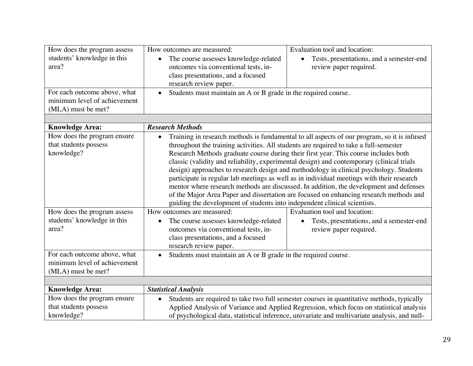| How does the program assess<br>students' knowledge in this<br>area?<br>For each outcome above, what<br>minimum level of achievement | How outcomes are measured:<br>The course assesses knowledge-related<br>$\bullet$<br>outcomes via conventional tests, in-<br>class presentations, and a focused<br>research review paper.<br>$\bullet$                                                                                                        | Evaluation tool and location:<br>Tests, presentations, and a semester-end<br>review paper required.<br>Students must maintain an A or B grade in the required course.                                                                                                                                                                                                                                                                                                                                                                                                                                                                                                                                                                               |  |  |
|-------------------------------------------------------------------------------------------------------------------------------------|--------------------------------------------------------------------------------------------------------------------------------------------------------------------------------------------------------------------------------------------------------------------------------------------------------------|-----------------------------------------------------------------------------------------------------------------------------------------------------------------------------------------------------------------------------------------------------------------------------------------------------------------------------------------------------------------------------------------------------------------------------------------------------------------------------------------------------------------------------------------------------------------------------------------------------------------------------------------------------------------------------------------------------------------------------------------------------|--|--|
| (MLA) must be met?                                                                                                                  |                                                                                                                                                                                                                                                                                                              |                                                                                                                                                                                                                                                                                                                                                                                                                                                                                                                                                                                                                                                                                                                                                     |  |  |
| <b>Knowledge Area:</b>                                                                                                              | <b>Research Methods</b>                                                                                                                                                                                                                                                                                      |                                                                                                                                                                                                                                                                                                                                                                                                                                                                                                                                                                                                                                                                                                                                                     |  |  |
| How does the program ensure<br>that students possess<br>knowledge?                                                                  | $\bullet$<br>guiding the development of students into independent clinical scientists.                                                                                                                                                                                                                       | Training in research methods is fundamental to all aspects of our program, so it is infused<br>throughout the training activities. All students are required to take a full-semester<br>Research Methods graduate course during their first year. This course includes both<br>classic (validity and reliability, experimental design) and contemporary (clinical trials<br>design) approaches to research design and methodology in clinical psychology. Students<br>participate in regular lab meetings as well as in individual meetings with their research<br>mentor where research methods are discussed. In addition, the development and defenses<br>of the Major Area Paper and dissertation are focused on enhancing research methods and |  |  |
| How does the program assess<br>students' knowledge in this<br>area?                                                                 | How outcomes are measured:<br>Evaluation tool and location:<br>The course assesses knowledge-related<br>Tests, presentations, and a semester-end<br>$\bullet$<br>$\bullet$<br>outcomes via conventional tests, in-<br>review paper required.<br>class presentations, and a focused<br>research review paper. |                                                                                                                                                                                                                                                                                                                                                                                                                                                                                                                                                                                                                                                                                                                                                     |  |  |
| For each outcome above, what<br>minimum level of achievement<br>(MLA) must be met?                                                  | Students must maintain an A or B grade in the required course.<br>$\bullet$                                                                                                                                                                                                                                  |                                                                                                                                                                                                                                                                                                                                                                                                                                                                                                                                                                                                                                                                                                                                                     |  |  |
|                                                                                                                                     |                                                                                                                                                                                                                                                                                                              |                                                                                                                                                                                                                                                                                                                                                                                                                                                                                                                                                                                                                                                                                                                                                     |  |  |
| <b>Knowledge Area:</b><br>How does the program ensure                                                                               | <b>Statistical Analysis</b>                                                                                                                                                                                                                                                                                  |                                                                                                                                                                                                                                                                                                                                                                                                                                                                                                                                                                                                                                                                                                                                                     |  |  |
| that students possess<br>knowledge?                                                                                                 | $\bullet$                                                                                                                                                                                                                                                                                                    | Students are required to take two full semester courses in quantitative methods, typically<br>Applied Analysis of Variance and Applied Regression, which focus on statistical analysis<br>of psychological data, statistical inference, univariate and multivariate analysis, and null-                                                                                                                                                                                                                                                                                                                                                                                                                                                             |  |  |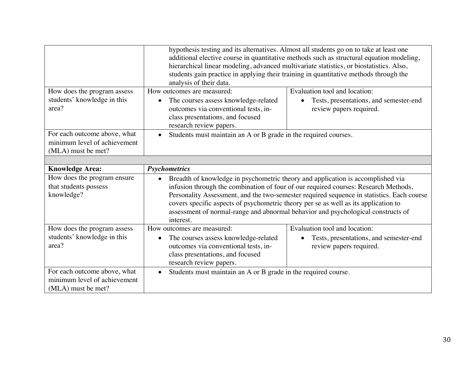|                                                                                    | hypothesis testing and its alternatives. Almost all students go on to take at least one<br>additional elective course in quantitative methods such as structural equation modeling,<br>hierarchical linear modeling, advanced multivariate statistics, or biostatistics. Also,<br>students gain practice in applying their training in quantitative methods through the<br>analysis of their data.                                                          |                                                                                                    |  |
|------------------------------------------------------------------------------------|-------------------------------------------------------------------------------------------------------------------------------------------------------------------------------------------------------------------------------------------------------------------------------------------------------------------------------------------------------------------------------------------------------------------------------------------------------------|----------------------------------------------------------------------------------------------------|--|
| How does the program assess<br>students' knowledge in this<br>area?                | How outcomes are measured:<br>The courses assess knowledge-related<br>$\bullet$<br>outcomes via conventional tests, in-<br>class presentations, and focused<br>research review papers.                                                                                                                                                                                                                                                                      | Evaluation tool and location:<br>Tests, presentations, and semester-end<br>review papers required. |  |
| For each outcome above, what<br>minimum level of achievement<br>(MLA) must be met? | Students must maintain an A or B grade in the required courses.                                                                                                                                                                                                                                                                                                                                                                                             |                                                                                                    |  |
|                                                                                    |                                                                                                                                                                                                                                                                                                                                                                                                                                                             |                                                                                                    |  |
| <b>Knowledge Area:</b>                                                             | <b>Psychometrics</b>                                                                                                                                                                                                                                                                                                                                                                                                                                        |                                                                                                    |  |
| How does the program ensure<br>that students possess<br>knowledge?                 | Breadth of knowledge in psychometric theory and application is accomplished via<br>infusion through the combination of four of our required courses: Research Methods,<br>Personality Assessment, and the two-semester required sequence in statistics. Each course<br>covers specific aspects of psychometric theory per se as well as its application to<br>assessment of normal-range and abnormal behavior and psychological constructs of<br>interest. |                                                                                                    |  |
| How does the program assess<br>students' knowledge in this<br>area?                | Evaluation tool and location:<br>How outcomes are measured:<br>The courses assess knowledge-related<br>Tests, presentations, and semester-end<br>outcomes via conventional tests, in-<br>review papers required.<br>class presentations, and focused<br>research review papers.                                                                                                                                                                             |                                                                                                    |  |
| For each outcome above, what<br>minimum level of achievement<br>(MLA) must be met? | Students must maintain an A or B grade in the required course.<br>$\bullet$                                                                                                                                                                                                                                                                                                                                                                                 |                                                                                                    |  |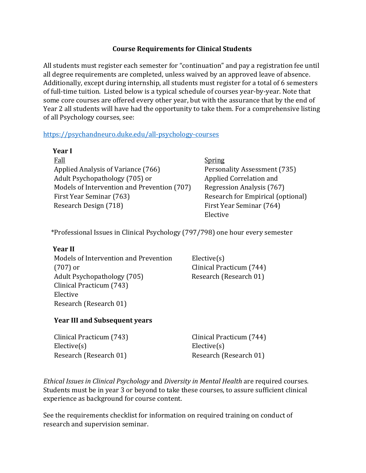## **Course Requirements for Clinical Students**

All students must register each semester for "continuation" and pay a registration fee until all degree requirements are completed, unless waived by an approved leave of absence. Additionally, except during internship, all students must register for a total of 6 semesters of full-time tuition. Listed below is a typical schedule of courses year-by-year. Note that some core courses are offered every other year, but with the assurance that by the end of Year 2 all students will have had the opportunity to take them. For a comprehensive listing of all Psychology courses, see:

## https://psychandneuro.duke.edu/all-psychology-courses

| Year I                                      |                                   |
|---------------------------------------------|-----------------------------------|
| Fall                                        | <b>Spring</b>                     |
| Applied Analysis of Variance (766)          | Personality Assessment (735)      |
| Adult Psychopathology (705) or              | Applied Correlation and           |
| Models of Intervention and Prevention (707) | Regression Analysis (767)         |
| First Year Seminar (763)                    | Research for Empirical (optional) |
| Research Design (718)                       | First Year Seminar (764)          |
|                                             | Elective                          |

 \*Professional Issues in Clinical Psychology (797/798) one hour every semester

#### **Year II**

Models of Intervention and Prevention  $(707)$  or Adult Psychopathology (705) Research (Research 01) Clinical Practicum (743) Elective Research (Research 01)

Elective(s) Clinical Practicum (744)

## **Year III and Subsequent years**

| Clinical Practicum (743) | Clinical Practicum (744) |
|--------------------------|--------------------------|
| Elective(s)              | Elective(s)              |
| Research (Research 01)   | Research (Research 01)   |

*Ethical Issues in Clinical Psychology* and *Diversity in Mental Health* are required courses. Students must be in year 3 or beyond to take these courses, to assure sufficient clinical experience as background for course content.

See the requirements checklist for information on required training on conduct of research and supervision seminar.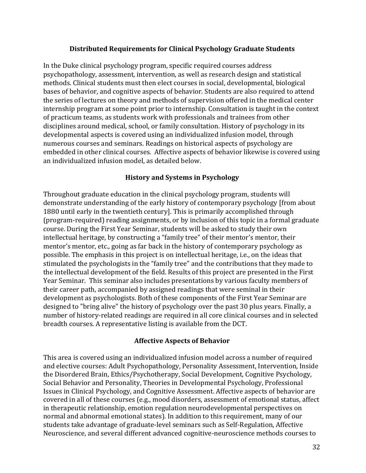### **Distributed Requirements for Clinical Psychology Graduate Students**

In the Duke clinical psychology program, specific required courses address psychopathology, assessment, intervention, as well as research design and statistical methods. Clinical students must then elect courses in social, developmental, biological bases of behavior, and cognitive aspects of behavior. Students are also required to attend the series of lectures on theory and methods of supervision offered in the medical center internship program at some point prior to internship. Consultation is taught in the context of practicum teams, as students work with professionals and trainees from other disciplines around medical, school, or family consultation. History of psychology in its developmental aspects is covered using an individualized infusion model, through numerous courses and seminars. Readings on historical aspects of psychology are embedded in other clinical courses. Affective aspects of behavior likewise is covered using an individualized infusion model, as detailed below.

#### **History and Systems in Psychology**

Throughout graduate education in the clinical psychology program, students will demonstrate understanding of the early history of contemporary psychology [from about 1880 until early in the twentieth century]. This is primarily accomplished through (program-required) reading assignments, or by inclusion of this topic in a formal graduate course. During the First Year Seminar, students will be asked to study their own intellectual heritage, by constructing a "family tree" of their mentor's mentor, their mentor's mentor, etc., going as far back in the history of contemporary psychology as possible. The emphasis in this project is on intellectual heritage, i.e., on the ideas that stimulated the psychologists in the "family tree" and the contributions that they made to the intellectual development of the field. Results of this project are presented in the First Year Seminar. This seminar also includes presentations by various faculty members of their career path, accompanied by assigned readings that were seminal in their development as psychologists. Both of these components of the First Year Seminar are designed to "bring alive" the history of psychology over the past 30 plus years. Finally, a number of history-related readings are required in all core clinical courses and in selected breadth courses. A representative listing is available from the DCT.

#### **Affective Aspects of Behavior**

This area is covered using an individualized infusion model across a number of required and elective courses: Adult Psychopathology, Personality Assessment, Intervention, Inside the Disordered Brain, Ethics/Psychotherapy, Social Development, Cognitive Psychology, Social Behavior and Personality, Theories in Developmental Psychology, Professional Issues in Clinical Psychology, and Cognitive Assessment. Affective aspects of behavior are covered in all of these courses (e.g., mood disorders, assessment of emotional status, affect in therapeutic relationship, emotion regulation neurodevelopmental perspectives on normal and abnormal emotional states). In addition to this requirement, many of our students take advantage of graduate-level seminars such as Self-Regulation, Affective Neuroscience, and several different advanced cognitive-neuroscience methods courses to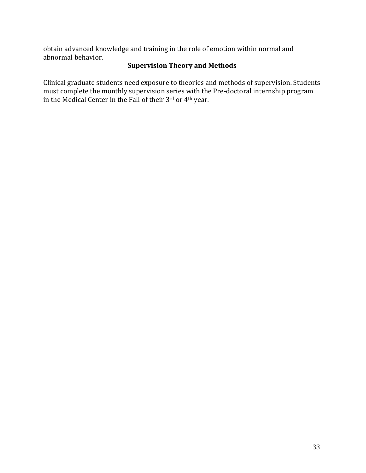obtain advanced knowledge and training in the role of emotion within normal and abnormal behavior.

## **Supervision Theory and Methods**

Clinical graduate students need exposure to theories and methods of supervision. Students must complete the monthly supervision series with the Pre-doctoral internship program in the Medical Center in the Fall of their 3rd or 4<sup>th</sup> year.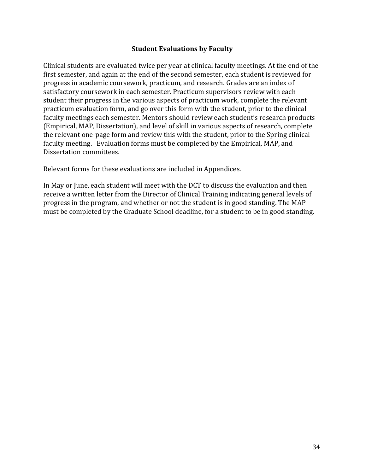### **Student Evaluations by Faculty**

Clinical students are evaluated twice per year at clinical faculty meetings. At the end of the first semester, and again at the end of the second semester, each student is reviewed for progress in academic coursework, practicum, and research. Grades are an index of satisfactory coursework in each semester. Practicum supervisors review with each student their progress in the various aspects of practicum work, complete the relevant practicum evaluation form, and go over this form with the student, prior to the clinical faculty meetings each semester. Mentors should review each student's research products (Empirical, MAP, Dissertation), and level of skill in various aspects of research, complete the relevant one-page form and review this with the student, prior to the Spring clinical faculty meeting. Evaluation forms must be completed by the Empirical, MAP, and Dissertation committees.

Relevant forms for these evaluations are included in Appendices.

In May or June, each student will meet with the DCT to discuss the evaluation and then receive a written letter from the Director of Clinical Training indicating general levels of progress in the program, and whether or not the student is in good standing. The MAP must be completed by the Graduate School deadline, for a student to be in good standing.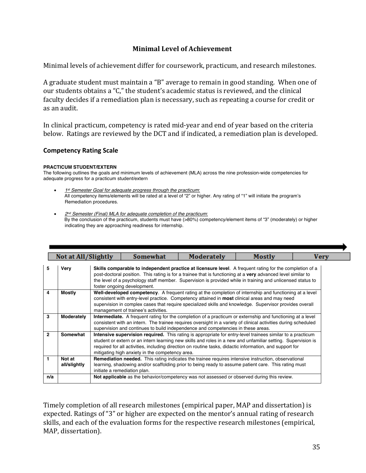## **Minimal Level of Achievement**

Minimal levels of achievement differ for coursework, practicum, and research milestones.

A graduate student must maintain a "B" average to remain in good standing. When one of our students obtains a "C," the student's academic status is reviewed, and the clinical faculty decides if a remediation plan is necessary, such as repeating a course for credit or as an audit.

In clinical practicum, competency is rated mid-year and end of year based on the criteria below. Ratings are reviewed by the DCT and if indicated, a remediation plan is developed.

#### **Competency Rating Scale**

#### **PRACTICUM STUDENT/EXTERN**

The following outlines the goals and minimum levels of achievement (MLA) across the nine profession-wide competencies for adequate progress for a practicum student/extern

- *1st Semester Goal for adequate progress through the practicum*: All competency items/elements will be rated at a level of "2" or higher. Any rating of "1" will initiate the program's Remediation procedures.
- *2nd Semester (Final) MLA for adequate completion of the practicum*: By the conclusion of the practicum, students must have (>80%) competency/element items of "3" (moderately) or higher indicating they are approaching readiness for internship.

|                         | Not at All/Slightly    | <b>Somewhat</b>                                 | Moderately                                                                                                                                                                                                                                                                                                                             | Mostly | Very |
|-------------------------|------------------------|-------------------------------------------------|----------------------------------------------------------------------------------------------------------------------------------------------------------------------------------------------------------------------------------------------------------------------------------------------------------------------------------------|--------|------|
| 5                       | Very                   | foster ongoing development.                     | Skills comparable to independent practice at licensure level. A frequent rating for the completion of a<br>post-doctoral position. This rating is for a trainee that is functioning at a very advanced level similar to<br>the level of a psychology staff member. Supervision is provided while in training and unlicensed status to  |        |      |
| $\overline{\mathbf{4}}$ | Mostly                 | management of trainee's activities.             | Well-developed competency. A frequent rating at the completion of internship and functioning at a level<br>consistent with entry-level practice. Competency attained in <b>most</b> clinical areas and may need<br>supervision in complex cases that require specialized skills and knowledge. Supervisor provides overall             |        |      |
| 3                       | Moderately             |                                                 | Intermediate. A frequent rating for the completion of a practicum or externship and functioning at a level<br>consistent with an intern. The trainee requires oversight in a variety of clinical activities during scheduled<br>supervision and continues to build independence and competencies in these areas.                       |        |      |
| $\overline{2}$          | Somewhat               | mitigating high anxiety in the competency area. | Intensive supervision required. This rating is appropriate for entry-level trainees similar to a practicum<br>student or extern or an intern learning new skills and roles in a new and unfamiliar setting. Supervision is<br>required for all activities, including direction on routine tasks, didactic information, and support for |        |      |
| $\mathbf{1}$            | Not at<br>all/slightly | initiate a remediation plan.                    | <b>Remediation needed.</b> This rating indicates the trainee requires intensive instruction, observational<br>learning, shadowing and/or scaffolding prior to being ready to assume patient care. This rating must                                                                                                                     |        |      |
| n/a                     |                        |                                                 | Not applicable as the behavior/competency was not assessed or observed during this review.                                                                                                                                                                                                                                             |        |      |

Timely completion of all research milestones (empirical paper, MAP and dissertation) is expected. Ratings of "3" or higher are expected on the mentor's annual rating of research skills, and each of the evaluation forms for the respective research milestones (empirical, MAP, dissertation).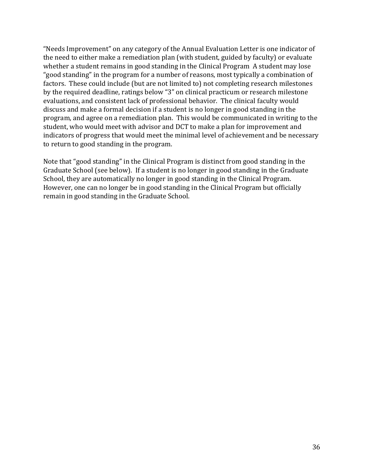"Needs Improvement" on any category of the Annual Evaluation Letter is one indicator of the need to either make a remediation plan (with student, guided by faculty) or evaluate whether a student remains in good standing in the Clinical Program A student may lose "good standing" in the program for a number of reasons, most typically a combination of factors. These could include (but are not limited to) not completing research milestones by the required deadline, ratings below "3" on clinical practicum or research milestone evaluations, and consistent lack of professional behavior. The clinical faculty would discuss and make a formal decision if a student is no longer in good standing in the program, and agree on a remediation plan. This would be communicated in writing to the student, who would meet with advisor and DCT to make a plan for improvement and indicators of progress that would meet the minimal level of achievement and be necessary to return to good standing in the program.

Note that "good standing" in the Clinical Program is distinct from good standing in the Graduate School (see below). If a student is no longer in good standing in the Graduate School, they are automatically no longer in good standing in the Clinical Program. However, one can no longer be in good standing in the Clinical Program but officially remain in good standing in the Graduate School.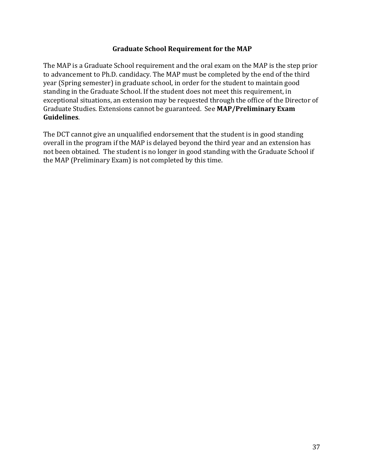## **Graduate School Requirement for the MAP**

The MAP is a Graduate School requirement and the oral exam on the MAP is the step prior to advancement to Ph.D. candidacy. The MAP must be completed by the end of the third year (Spring semester) in graduate school, in order for the student to maintain good standing in the Graduate School. If the student does not meet this requirement, in exceptional situations, an extension may be requested through the office of the Director of Graduate Studies. Extensions cannot be guaranteed. See MAP/Preliminary Exam **Guidelines**. 

The DCT cannot give an unqualified endorsement that the student is in good standing overall in the program if the MAP is delayed beyond the third year and an extension has not been obtained. The student is no longer in good standing with the Graduate School if the MAP (Preliminary Exam) is not completed by this time.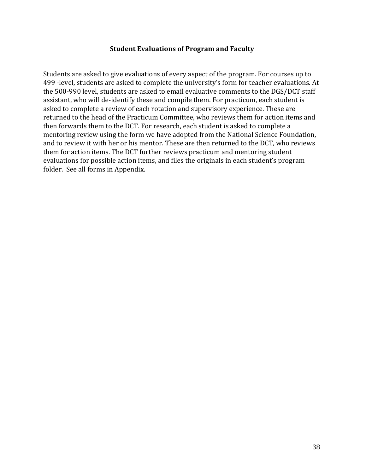#### **Student Evaluations of Program and Faculty**

Students are asked to give evaluations of every aspect of the program. For courses up to 499 -level, students are asked to complete the university's form for teacher evaluations. At the 500-990 level, students are asked to email evaluative comments to the DGS/DCT staff assistant, who will de-identify these and compile them. For practicum, each student is asked to complete a review of each rotation and supervisory experience. These are returned to the head of the Practicum Committee, who reviews them for action items and then forwards them to the DCT. For research, each student is asked to complete a mentoring review using the form we have adopted from the National Science Foundation, and to review it with her or his mentor. These are then returned to the DCT, who reviews them for action items. The DCT further reviews practicum and mentoring student evaluations for possible action items, and files the originals in each student's program folder. See all forms in Appendix.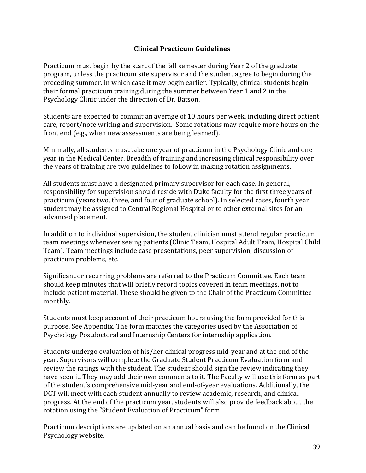## **Clinical Practicum Guidelines**

Practicum must begin by the start of the fall semester during Year 2 of the graduate program, unless the practicum site supervisor and the student agree to begin during the preceding summer, in which case it may begin earlier. Typically, clinical students begin their formal practicum training during the summer between Year 1 and 2 in the Psychology Clinic under the direction of Dr. Batson.

Students are expected to commit an average of 10 hours per week, including direct patient care, report/note writing and supervision. Some rotations may require more hours on the front end (e.g., when new assessments are being learned).

Minimally, all students must take one year of practicum in the Psychology Clinic and one year in the Medical Center. Breadth of training and increasing clinical responsibility over the years of training are two guidelines to follow in making rotation assignments.

All students must have a designated primary supervisor for each case. In general, responsibility for supervision should reside with Duke faculty for the first three years of practicum (years two, three, and four of graduate school). In selected cases, fourth year student may be assigned to Central Regional Hospital or to other external sites for an advanced placement.

In addition to individual supervision, the student clinician must attend regular practicum team meetings whenever seeing patients (Clinic Team, Hospital Adult Team, Hospital Child Team). Team meetings include case presentations, peer supervision, discussion of practicum problems, etc.

Significant or recurring problems are referred to the Practicum Committee. Each team should keep minutes that will briefly record topics covered in team meetings, not to include patient material. These should be given to the Chair of the Practicum Committee monthly.

Students must keep account of their practicum hours using the form provided for this purpose. See Appendix. The form matches the categories used by the Association of Psychology Postdoctoral and Internship Centers for internship application.

Students undergo evaluation of his/her clinical progress mid-year and at the end of the year. Supervisors will complete the Graduate Student Practicum Evaluation form and review the ratings with the student. The student should sign the review indicating they have seen it. They may add their own comments to it. The Faculty will use this form as part of the student's comprehensive mid-year and end-of-year evaluations. Additionally, the DCT will meet with each student annually to review academic, research, and clinical progress. At the end of the practicum year, students will also provide feedback about the rotation using the "Student Evaluation of Practicum" form.

Practicum descriptions are updated on an annual basis and can be found on the Clinical Psychology website.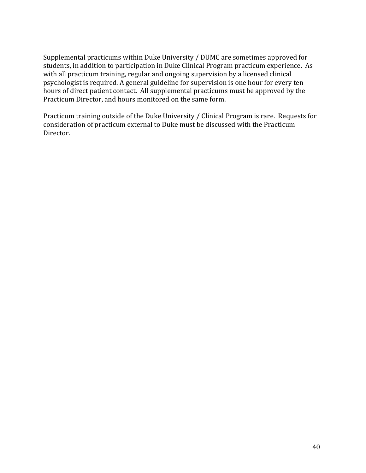Supplemental practicums within Duke University / DUMC are sometimes approved for students, in addition to participation in Duke Clinical Program practicum experience. As with all practicum training, regular and ongoing supervision by a licensed clinical psychologist is required. A general guideline for supervision is one hour for every ten hours of direct patient contact. All supplemental practicums must be approved by the Practicum Director, and hours monitored on the same form.

Practicum training outside of the Duke University / Clinical Program is rare. Requests for consideration of practicum external to Duke must be discussed with the Practicum Director.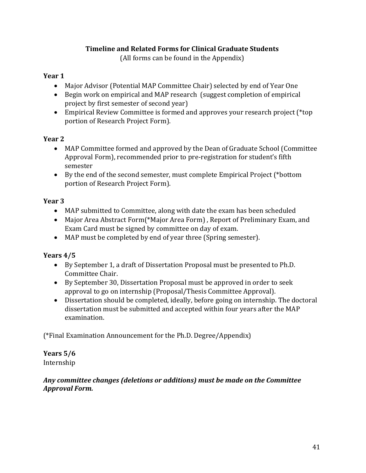# **Timeline and Related Forms for Clinical Graduate Students**

(All forms can be found in the Appendix)

# **Year 1**

- Major Advisor (Potential MAP Committee Chair) selected by end of Year One
- Begin work on empirical and MAP research (suggest completion of empirical project by first semester of second year)
- Empirical Review Committee is formed and approves your research project (\*top) portion of Research Project Form).

# **Year 2**

- MAP Committee formed and approved by the Dean of Graduate School (Committee Approval Form), recommended prior to pre-registration for student's fifth semester
- By the end of the second semester, must complete Empirical Project (\*bottom portion of Research Project Form).

# **Year 3**

- MAP submitted to Committee, along with date the exam has been scheduled
- Major Area Abstract Form(\*Major Area Form), Report of Preliminary Exam, and Exam Card must be signed by committee on day of exam.
- MAP must be completed by end of year three (Spring semester).

# **Years 4/5**

- By September 1, a draft of Dissertation Proposal must be presented to Ph.D. Committee Chair.
- By September 30, Dissertation Proposal must be approved in order to seek approval to go on internship (Proposal/Thesis Committee Approval).
- Dissertation should be completed, ideally, before going on internship. The doctoral dissertation must be submitted and accepted within four years after the MAP examination.

(\*Final Examination Announcement for the Ph.D. Degree/Appendix)

### **Years 5/6** Internship

# Any committee changes (deletions or additions) must be made on the Committee *Approval Form.*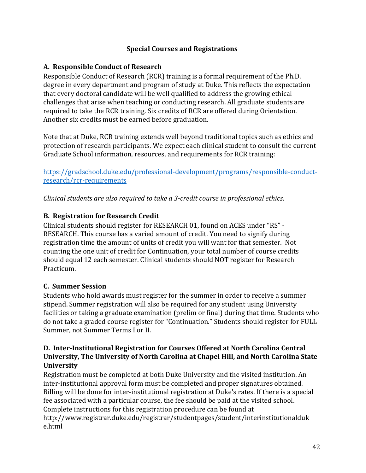# **Special Courses and Registrations**

# **A. Responsible Conduct of Research**

Responsible Conduct of Research (RCR) training is a formal requirement of the Ph.D. degree in every department and program of study at Duke. This reflects the expectation that every doctoral candidate will be well qualified to address the growing ethical challenges that arise when teaching or conducting research. All graduate students are required to take the RCR training. Six credits of RCR are offered during Orientation. Another six credits must be earned before graduation.

Note that at Duke, RCR training extends well beyond traditional topics such as ethics and protection of research participants. We expect each clinical student to consult the current Graduate School information, resources, and requirements for RCR training:

https://gradschool.duke.edu/professional-development/programs/responsible-conductresearch/rcr-requirements

*Clinical students are also required to take a 3-credit course in professional ethics.* 

# **B. Registration for Research Credit**

Clinical students should register for RESEARCH 01, found on ACES under "RS" -RESEARCH. This course has a varied amount of credit. You need to signify during registration time the amount of units of credit you will want for that semester. Not counting the one unit of credit for Continuation, your total number of course credits should equal 12 each semester. Clinical students should NOT register for Research Practicum. 

# **C. Summer Session**

Students who hold awards must register for the summer in order to receive a summer stipend. Summer registration will also be required for any student using University facilities or taking a graduate examination (prelim or final) during that time. Students who do not take a graded course register for "Continuation." Students should register for FULL Summer, not Summer Terms I or II.

## **D.** Inter-Institutional Registration for Courses Offered at North Carolina Central **University, The University of North Carolina at Chapel Hill, and North Carolina State University**

Registration must be completed at both Duke University and the visited institution. An inter-institutional approval form must be completed and proper signatures obtained. Billing will be done for inter-institutional registration at Duke's rates. If there is a special fee associated with a particular course, the fee should be paid at the visited school. Complete instructions for this registration procedure can be found at http://www.registrar.duke.edu/registrar/studentpages/student/interinstitutionalduk e.html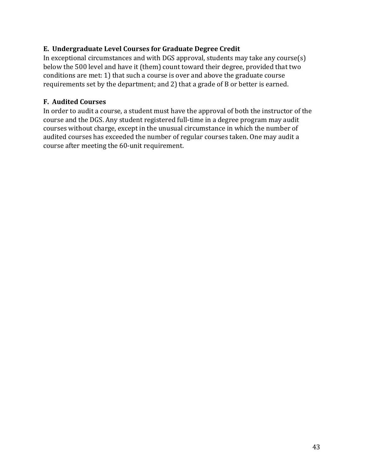# E. Undergraduate Level Courses for Graduate Degree Credit

In exceptional circumstances and with DGS approval, students may take any course(s) below the 500 level and have it (them) count toward their degree, provided that two conditions are met: 1) that such a course is over and above the graduate course requirements set by the department; and 2) that a grade of B or better is earned.

# **F.** Audited Courses

In order to audit a course, a student must have the approval of both the instructor of the course and the DGS. Any student registered full-time in a degree program may audit courses without charge, except in the unusual circumstance in which the number of audited courses has exceeded the number of regular courses taken. One may audit a course after meeting the 60-unit requirement.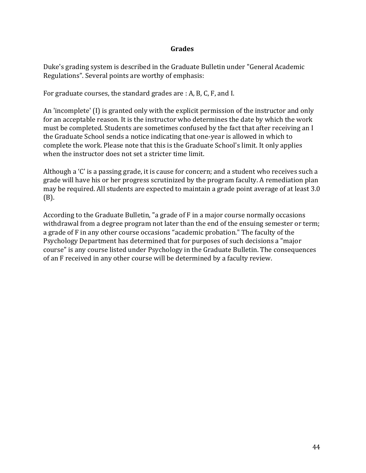### **Grades**

Duke's grading system is described in the Graduate Bulletin under "General Academic Regulations". Several points are worthy of emphasis:

For graduate courses, the standard grades are : A, B, C, F, and I.

An 'incomplete' (I) is granted only with the explicit permission of the instructor and only for an acceptable reason. It is the instructor who determines the date by which the work must be completed. Students are sometimes confused by the fact that after receiving an I the Graduate School sends a notice indicating that one-year is allowed in which to complete the work. Please note that this is the Graduate School's limit. It only applies when the instructor does not set a stricter time limit.

Although a 'C' is a passing grade, it is cause for concern; and a student who receives such a grade will have his or her progress scrutinized by the program faculty. A remediation plan may be required. All students are expected to maintain a grade point average of at least 3.0 (B). 

According to the Graduate Bulletin, "a grade of F in a major course normally occasions withdrawal from a degree program not later than the end of the ensuing semester or term; a grade of F in any other course occasions "academic probation." The faculty of the Psychology Department has determined that for purposes of such decisions a "major course" is any course listed under Psychology in the Graduate Bulletin. The consequences of an F received in any other course will be determined by a faculty review.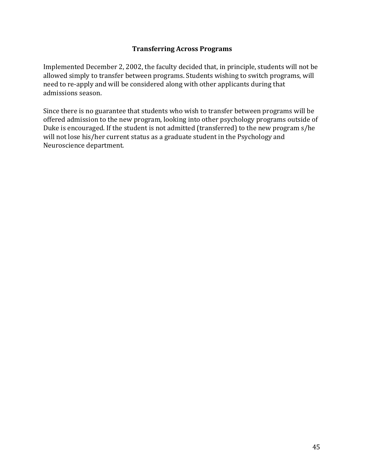## **Transferring Across Programs**

Implemented December 2, 2002, the faculty decided that, in principle, students will not be allowed simply to transfer between programs. Students wishing to switch programs, will need to re-apply and will be considered along with other applicants during that admissions season.

Since there is no guarantee that students who wish to transfer between programs will be offered admission to the new program, looking into other psychology programs outside of Duke is encouraged. If the student is not admitted (transferred) to the new program s/he will not lose his/her current status as a graduate student in the Psychology and Neuroscience department.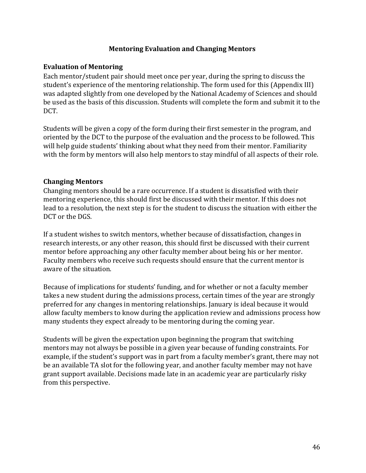## **Mentoring Evaluation and Changing Mentors**

## **Evaluation of Mentoring**

Each mentor/student pair should meet once per year, during the spring to discuss the student's experience of the mentoring relationship. The form used for this (Appendix III) was adapted slightly from one developed by the National Academy of Sciences and should be used as the basis of this discussion. Students will complete the form and submit it to the DCT. 

Students will be given a copy of the form during their first semester in the program, and oriented by the DCT to the purpose of the evaluation and the process to be followed. This will help guide students' thinking about what they need from their mentor. Familiarity with the form by mentors will also help mentors to stay mindful of all aspects of their role.

#### **Changing Mentors**

Changing mentors should be a rare occurrence. If a student is dissatisfied with their mentoring experience, this should first be discussed with their mentor. If this does not lead to a resolution, the next step is for the student to discuss the situation with either the DCT or the DGS.

If a student wishes to switch mentors, whether because of dissatisfaction, changes in research interests, or any other reason, this should first be discussed with their current mentor before approaching any other faculty member about being his or her mentor. Faculty members who receive such requests should ensure that the current mentor is aware of the situation.

Because of implications for students' funding, and for whether or not a faculty member takes a new student during the admissions process, certain times of the year are strongly preferred for any changes in mentoring relationships. January is ideal because it would allow faculty members to know during the application review and admissions process how many students they expect already to be mentoring during the coming year.

Students will be given the expectation upon beginning the program that switching mentors may not always be possible in a given year because of funding constraints. For example, if the student's support was in part from a faculty member's grant, there may not be an available TA slot for the following year, and another faculty member may not have grant support available. Decisions made late in an academic year are particularly risky from this perspective.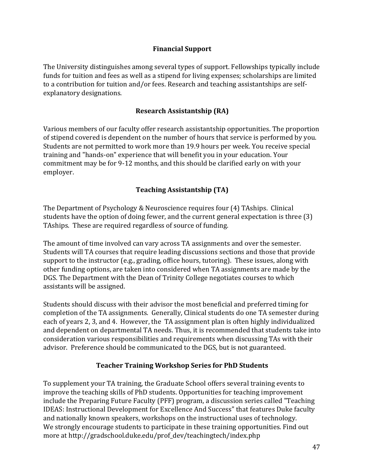## **Financial Support**

The University distinguishes among several types of support. Fellowships typically include funds for tuition and fees as well as a stipend for living expenses; scholarships are limited to a contribution for tuition and/or fees. Research and teaching assistantships are selfexplanatory designations.

## **Research Assistantship (RA)**

Various members of our faculty offer research assistantship opportunities. The proportion of stipend covered is dependent on the number of hours that service is performed by you. Students are not permitted to work more than 19.9 hours per week. You receive special training and "hands-on" experience that will benefit you in your education. Your commitment may be for 9-12 months, and this should be clarified early on with your employer. 

## **Teaching Assistantship (TA)**

The Department of Psychology & Neuroscience requires four  $(4)$  TAships. Clinical students have the option of doing fewer, and the current general expectation is three (3) TAships. These are required regardless of source of funding.

The amount of time involved can vary across TA assignments and over the semester. Students will TA courses that require leading discussions sections and those that provide support to the instructor (e.g., grading, office hours, tutoring). These issues, along with other funding options, are taken into considered when TA assignments are made by the DGS. The Department with the Dean of Trinity College negotiates courses to which assistants will be assigned.

Students should discuss with their advisor the most beneficial and preferred timing for completion of the TA assignments. Generally, Clinical students do one TA semester during each of years 2, 3, and 4. However, the TA assignment plan is often highly individualized and dependent on departmental TA needs. Thus, it is recommended that students take into consideration various responsibilities and requirements when discussing TAs with their advisor. Preference should be communicated to the DGS, but is not guaranteed.

## **Teacher Training Workshop Series for PhD Students**

To supplement your TA training, the Graduate School offers several training events to improve the teaching skills of PhD students. Opportunities for teaching improvement include the Preparing Future Faculty (PFF) program, a discussion series called "Teaching IDEAS: Instructional Development for Excellence And Success" that features Duke faculty and nationally known speakers, workshops on the instructional uses of technology. We strongly encourage students to participate in these training opportunities. Find out more at http://gradschool.duke.edu/prof\_dev/teachingtech/index.php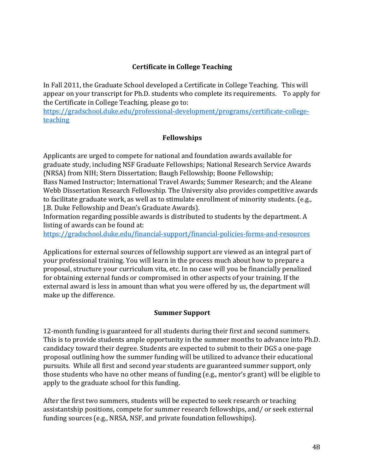# **Certificate in College Teaching**

In Fall 2011, the Graduate School developed a Certificate in College Teaching. This will appear on your transcript for Ph.D. students who complete its requirements. To apply for the Certificate in College Teaching, please go to:

https://gradschool.duke.edu/professional-development/programs/certificate-collegeteaching

## **Fellowships**

Applicants are urged to compete for national and foundation awards available for graduate study, including NSF Graduate Fellowships; National Research Service Awards (NRSA) from NIH; Stern Dissertation; Baugh Fellowship; Boone Fellowship;

Bass Named Instructor; International Travel Awards; Summer Research; and the Aleane Webb Dissertation Research Fellowship. The University also provides competitive awards to facilitate graduate work, as well as to stimulate enrollment of minority students. (e.g., I.B. Duke Fellowship and Dean's Graduate Awards).

Information regarding possible awards is distributed to students by the department. A listing of awards can be found at:

https://gradschool.duke.edu/financial-support/financial-policies-forms-and-resources

Applications for external sources of fellowship support are viewed as an integral part of your professional training. You will learn in the process much about how to prepare a proposal, structure your curriculum vita, etc. In no case will you be financially penalized for obtaining external funds or compromised in other aspects of your training. If the external award is less in amount than what you were offered by us, the department will make up the difference.

# **Summer Support**

12-month funding is guaranteed for all students during their first and second summers. This is to provide students ample opportunity in the summer months to advance into Ph.D. candidacy toward their degree. Students are expected to submit to their DGS a one-page proposal outlining how the summer funding will be utilized to advance their educational pursuits. While all first and second year students are guaranteed summer support, only those students who have no other means of funding (e.g., mentor's grant) will be eligible to apply to the graduate school for this funding.

After the first two summers, students will be expected to seek research or teaching assistantship positions, compete for summer research fellowships, and/ or seek external funding sources (e.g., NRSA, NSF, and private foundation fellowships).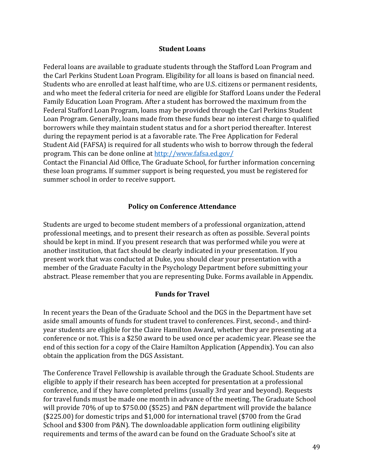#### **Student Loans**

Federal loans are available to graduate students through the Stafford Loan Program and the Carl Perkins Student Loan Program. Eligibility for all loans is based on financial need. Students who are enrolled at least half time, who are U.S. citizens or permanent residents, and who meet the federal criteria for need are eligible for Stafford Loans under the Federal Family Education Loan Program. After a student has borrowed the maximum from the Federal Stafford Loan Program, loans may be provided through the Carl Perkins Student Loan Program. Generally, loans made from these funds bear no interest charge to qualified borrowers while they maintain student status and for a short period thereafter. Interest during the repayment period is at a favorable rate. The Free Application for Federal Student Aid (FAFSA) is required for all students who wish to borrow through the federal program. This can be done online at http://www.fafsa.ed.gov/

Contact the Financial Aid Office, The Graduate School, for further information concerning these loan programs. If summer support is being requested, you must be registered for summer school in order to receive support.

#### **Policy on Conference Attendance**

Students are urged to become student members of a professional organization, attend professional meetings, and to present their research as often as possible. Several points should be kept in mind. If you present research that was performed while you were at another institution, that fact should be clearly indicated in your presentation. If you present work that was conducted at Duke, you should clear your presentation with a member of the Graduate Faculty in the Psychology Department before submitting your abstract. Please remember that you are representing Duke. Forms available in Appendix.

#### **Funds for Travel**

In recent years the Dean of the Graduate School and the DGS in the Department have set aside small amounts of funds for student travel to conferences. First, second-, and thirdyear students are eligible for the Claire Hamilton Award, whether they are presenting at a conference or not. This is a \$250 award to be used once per academic year. Please see the end of this section for a copy of the Claire Hamilton Application (Appendix). You can also obtain the application from the DGS Assistant.

The Conference Travel Fellowship is available through the Graduate School. Students are eligible to apply if their research has been accepted for presentation at a professional conference, and if they have completed prelims (usually 3rd year and beyond). Requests for travel funds must be made one month in advance of the meeting. The Graduate School will provide  $70\%$  of up to  $$750.00$  (\$525) and P&N department will provide the balance ( $$225.00$ ) for domestic trips and  $$1,000$  for international travel ( $$700$  from the Grad School and \$300 from P&N). The downloadable application form outlining eligibility requirements and terms of the award can be found on the Graduate School's site at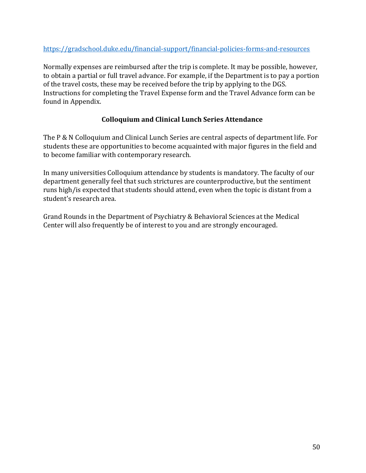## https://gradschool.duke.edu/financial-support/financial-policies-forms-and-resources

Normally expenses are reimbursed after the trip is complete. It may be possible, however, to obtain a partial or full travel advance. For example, if the Department is to pay a portion of the travel costs, these may be received before the trip by applying to the DGS. Instructions for completing the Travel Expense form and the Travel Advance form can be found in Appendix.

## **Colloquium and Clinical Lunch Series Attendance**

The P & N Colloquium and Clinical Lunch Series are central aspects of department life. For students these are opportunities to become acquainted with major figures in the field and to become familiar with contemporary research.

In many universities Colloquium attendance by students is mandatory. The faculty of our department generally feel that such strictures are counterproductive, but the sentiment runs high/is expected that students should attend, even when the topic is distant from a student's research area.

Grand Rounds in the Department of Psychiatry & Behavioral Sciences at the Medical Center will also frequently be of interest to you and are strongly encouraged.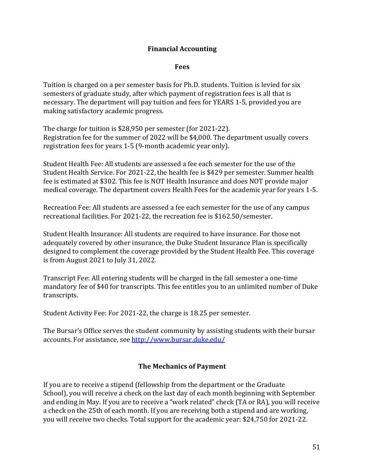## **Financial Accounting**

#### **Fees**

Tuition is charged on a per semester basis for Ph.D. students. Tuition is levied for six semesters of graduate study, after which payment of registration fees is all that is necessary. The department will pay tuition and fees for YEARS 1-5, provided you are making satisfactory academic progress.

The charge for tuition is \$28,950 per semester (for 2021-22). Registration fee for the summer of 2022 will be \$4,000. The department usually covers registration fees for years  $1-5$  (9-month academic year only).

Student Health Fee: All students are assessed a fee each semester for the use of the Student Health Service. For 2021-22, the health fee is \$429 per semester. Summer health fee is estimated at \$302. This fee is NOT Health Insurance and does NOT provide major medical coverage. The department covers Health Fees for the academic year for years 1-5.

Recreation Fee: All students are assessed a fee each semester for the use of any campus recreational facilities. For 2021-22, the recreation fee is \$162.50/semester.

Student Health Insurance: All students are required to have insurance. For those not adequately covered by other insurance, the Duke Student Insurance Plan is specifically designed to complement the coverage provided by the Student Health Fee. This coverage is from August  $2021$  to July 31, 2022.

Transcript Fee: All entering students will be charged in the fall semester a one-time mandatory fee of \$40 for transcripts. This fee entitles you to an unlimited number of Duke transcripts. 

Student Activity Fee: For 2021-22, the charge is 18.25 per semester.

The Bursar's Office serves the student community by assisting students with their bursar accounts. For assistance, see http://www.bursar.duke.edu/

## **The Mechanics of Payment**

If you are to receive a stipend (fellowship from the department or the Graduate School), you will receive a check on the last day of each month beginning with September and ending in May. If you are to receive a "work related" check (TA or RA), you will receive a check on the 25th of each month. If you are receiving both a stipend and are working, you will receive two checks. Total support for the academic year: \$24,750 for 2021-22.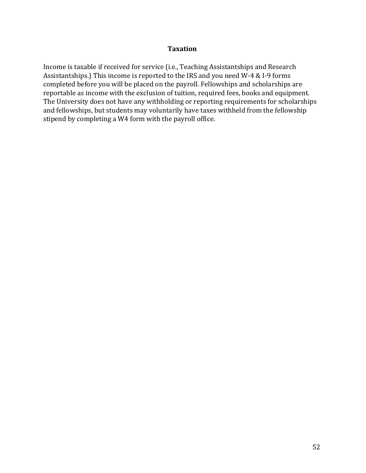#### **Taxation**

Income is taxable if received for service (i.e., Teaching Assistantships and Research Assistantships.) This income is reported to the IRS and you need W-4 & I-9 forms completed before you will be placed on the payroll. Fellowships and scholarships are reportable as income with the exclusion of tuition, required fees, books and equipment. The University does not have any withholding or reporting requirements for scholarships and fellowships, but students may voluntarily have taxes withheld from the fellowship stipend by completing a W4 form with the payroll office.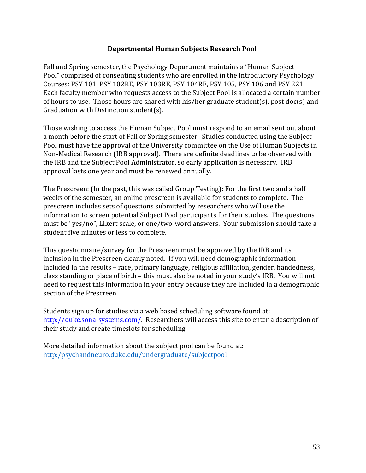### **Departmental Human Subjects Research Pool**

Fall and Spring semester, the Psychology Department maintains a "Human Subject Pool" comprised of consenting students who are enrolled in the Introductory Psychology Courses: PSY 101, PSY 102RE, PSY 103RE, PSY 104RE, PSY 105, PSY 106 and PSY 221. Each faculty member who requests access to the Subject Pool is allocated a certain number of hours to use. Those hours are shared with his/her graduate student(s), post doc(s) and Graduation with Distinction student(s).

Those wishing to access the Human Subject Pool must respond to an email sent out about a month before the start of Fall or Spring semester. Studies conducted using the Subject Pool must have the approval of the University committee on the Use of Human Subjects in Non-Medical Research (IRB approval). There are definite deadlines to be observed with the IRB and the Subject Pool Administrator, so early application is necessary. IRB approval lasts one year and must be renewed annually.

The Prescreen: (In the past, this was called Group Testing): For the first two and a half weeks of the semester, an online prescreen is available for students to complete. The prescreen includes sets of questions submitted by researchers who will use the information to screen potential Subject Pool participants for their studies. The questions must be "yes/no", Likert scale, or one/two-word answers. Your submission should take a student five minutes or less to complete.

This questionnaire/survey for the Prescreen must be approved by the IRB and its inclusion in the Prescreen clearly noted. If you will need demographic information included in the results – race, primary language, religious affiliation, gender, handedness, class standing or place of birth – this must also be noted in your study's IRB. You will not need to request this information in your entry because they are included in a demographic section of the Prescreen.

Students sign up for studies via a web based scheduling software found at: http://duke.sona-systems.com/. Researchers will access this site to enter a description of their study and create timeslots for scheduling.

More detailed information about the subject pool can be found at: http:/psychandneuro.duke.edu/undergraduate/subjectpool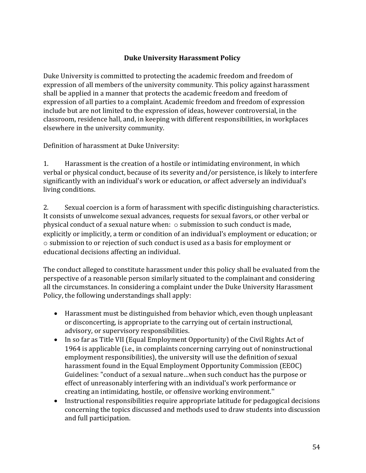# **Duke University Harassment Policy**

Duke University is committed to protecting the academic freedom and freedom of expression of all members of the university community. This policy against harassment shall be applied in a manner that protects the academic freedom and freedom of expression of all parties to a complaint. Academic freedom and freedom of expression include but are not limited to the expression of ideas, however controversial, in the classroom, residence hall, and, in keeping with different responsibilities, in workplaces elsewhere in the university community.

Definition of harassment at Duke University:

1. Harassment is the creation of a hostile or intimidating environment, in which verbal or physical conduct, because of its severity and/or persistence, is likely to interfere significantly with an individual's work or education, or affect adversely an individual's living conditions.

2. Sexual coercion is a form of harassment with specific distinguishing characteristics. It consists of unwelcome sexual advances, requests for sexual favors, or other verbal or physical conduct of a sexual nature when:  $\circ$  submission to such conduct is made, explicitly or implicitly, a term or condition of an individual's employment or education; or  $\circ$  submission to or rejection of such conduct is used as a basis for employment or educational decisions affecting an individual.

The conduct alleged to constitute harassment under this policy shall be evaluated from the perspective of a reasonable person similarly situated to the complainant and considering all the circumstances. In considering a complaint under the Duke University Harassment Policy, the following understandings shall apply:

- Harassment must be distinguished from behavior which, even though unpleasant or disconcerting, is appropriate to the carrying out of certain instructional, advisory, or supervisory responsibilities.
- In so far as Title VII (Equal Employment Opportunity) of the Civil Rights Act of 1964 is applicable (i.e., in complaints concerning carrying out of noninstructional employment responsibilities), the university will use the definition of sexual harassment found in the Equal Employment Opportunity Commission (EEOC) Guidelines: "conduct of a sexual nature...when such conduct has the purpose or effect of unreasonably interfering with an individual's work performance or creating an intimidating, hostile, or offensive working environment."
- Instructional responsibilities require appropriate latitude for pedagogical decisions concerning the topics discussed and methods used to draw students into discussion and full participation.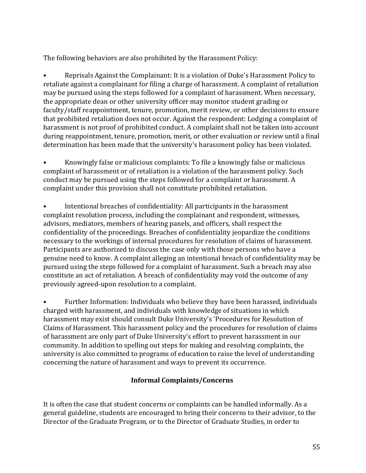The following behaviors are also prohibited by the Harassment Policy:

Reprisals Against the Complainant: It is a violation of Duke's Harassment Policy to retaliate against a complainant for filing a charge of harassment. A complaint of retaliation may be pursued using the steps followed for a complaint of harassment. When necessary, the appropriate dean or other university officer may monitor student grading or faculty/staff reappointment, tenure, promotion, merit review, or other decisions to ensure that prohibited retaliation does not occur. Against the respondent: Lodging a complaint of harassment is not proof of prohibited conduct. A complaint shall not be taken into account during reappointment, tenure, promotion, merit, or other evaluation or review until a final determination has been made that the university's harassment policy has been violated.

• Knowingly false or malicious complaints: To file a knowingly false or malicious complaint of harassment or of retaliation is a violation of the harassment policy. Such conduct may be pursued using the steps followed for a complaint or harassment. A complaint under this provision shall not constitute prohibited retaliation.

Intentional breaches of confidentiality: All participants in the harassment complaint resolution process, including the complainant and respondent, witnesses, advisors, mediators, members of hearing panels, and officers, shall respect the confidentiality of the proceedings. Breaches of confidentiality jeopardize the conditions necessary to the workings of internal procedures for resolution of claims of harassment. Participants are authorized to discuss the case only with those persons who have a genuine need to know. A complaint alleging an intentional breach of confidentiality may be pursued using the steps followed for a complaint of harassment. Such a breach may also constitute an act of retaliation. A breach of confidentiality may void the outcome of any previously agreed-upon resolution to a complaint.

Further Information: Individuals who believe they have been harassed, individuals charged with harassment, and individuals with knowledge of situations in which harassment may exist should consult Duke University's 'Procedures for Resolution of Claims of Harassment. This harassment policy and the procedures for resolution of claims of harassment are only part of Duke University's effort to prevent harassment in our community. In addition to spelling out steps for making and resolving complaints, the university is also committed to programs of education to raise the level of understanding concerning the nature of harassment and ways to prevent its occurrence.

# **Informal Complaints/Concerns**

It is often the case that student concerns or complaints can be handled informally. As a general guideline, students are encouraged to bring their concerns to their advisor, to the Director of the Graduate Program, or to the Director of Graduate Studies, in order to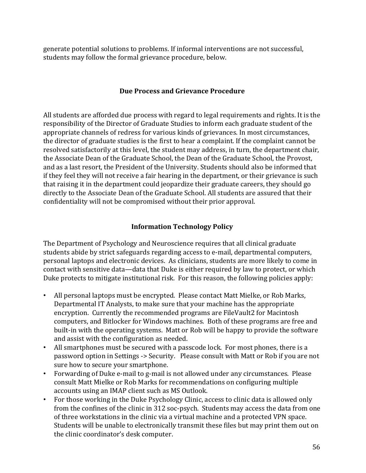generate potential solutions to problems. If informal interventions are not successful, students may follow the formal grievance procedure, below.

#### **Due Process and Grievance Procedure**

All students are afforded due process with regard to legal requirements and rights. It is the responsibility of the Director of Graduate Studies to inform each graduate student of the appropriate channels of redress for various kinds of grievances. In most circumstances, the director of graduate studies is the first to hear a complaint. If the complaint cannot be resolved satisfactorily at this level, the student may address, in turn, the department chair, the Associate Dean of the Graduate School, the Dean of the Graduate School, the Provost, and as a last resort, the President of the University. Students should also be informed that if they feel they will not receive a fair hearing in the department, or their grievance is such that raising it in the department could jeopardize their graduate careers, they should go directly to the Associate Dean of the Graduate School. All students are assured that their confidentiality will not be compromised without their prior approval.

## **Information Technology Policy**

The Department of Psychology and Neuroscience requires that all clinical graduate students abide by strict safeguards regarding access to e-mail, departmental computers, personal laptops and electronic devices. As clinicians, students are more likely to come in contact with sensitive data—data that Duke is either required by law to protect, or which Duke protects to mitigate institutional risk. For this reason, the following policies apply:

- All personal laptops must be encrypted. Please contact Matt Mielke, or Rob Marks, Departmental IT Analysts, to make sure that your machine has the appropriate encryption. Currently the recommended programs are FileVault2 for Macintosh computers, and Bitlocker for Windows machines. Both of these programs are free and built-in with the operating systems. Matt or Rob will be happy to provide the software and assist with the configuration as needed.
- All smartphones must be secured with a passcode lock. For most phones, there is a password option in Settings -> Security. Please consult with Matt or Rob if you are not sure how to secure your smartphone.
- Forwarding of Duke e-mail to g-mail is not allowed under any circumstances. Please consult Matt Mielke or Rob Marks for recommendations on configuring multiple accounts using an IMAP client such as MS Outlook.
- For those working in the Duke Psychology Clinic, access to clinic data is allowed only from the confines of the clinic in 312 soc-psych. Students may access the data from one of three workstations in the clinic via a virtual machine and a protected VPN space. Students will be unable to electronically transmit these files but may print them out on the clinic coordinator's desk computer.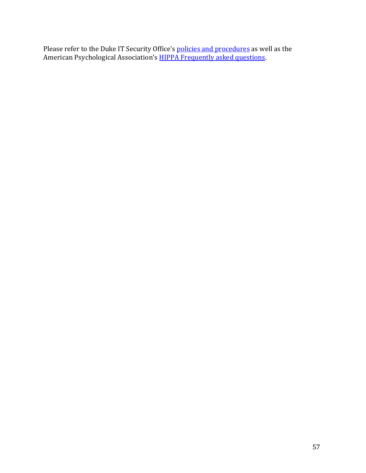Please refer to the Duke IT Security Office's *policies and procedures* as well as the American Psychological Association's **HIPPA Frequently asked questions**.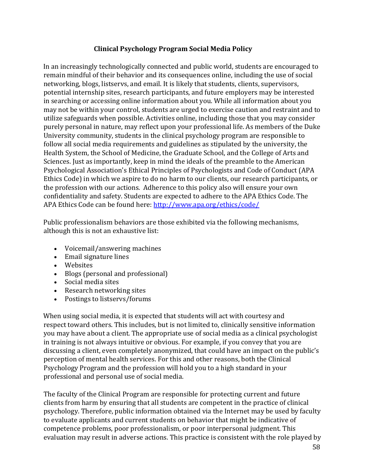## **Clinical Psychology Program Social Media Policy**

In an increasingly technologically connected and public world, students are encouraged to remain mindful of their behavior and its consequences online, including the use of social networking, blogs, listservs, and email. It is likely that students, clients, supervisors, potential internship sites, research participants, and future employers may be interested in searching or accessing online information about you. While all information about you may not be within your control, students are urged to exercise caution and restraint and to utilize safeguards when possible. Activities online, including those that you may consider purely personal in nature, may reflect upon your professional life. As members of the Duke University community, students in the clinical psychology program are responsible to follow all social media requirements and guidelines as stipulated by the university, the Health System, the School of Medicine, the Graduate School, and the College of Arts and Sciences. Just as importantly, keep in mind the ideals of the preamble to the American Psychological Association's Ethical Principles of Psychologists and Code of Conduct (APA Ethics Code) in which we aspire to do no harm to our clients, our research participants, or the profession with our actions. Adherence to this policy also will ensure your own confidentiality and safety. Students are expected to adhere to the APA Ethics Code. The APA Ethics Code can be found here: http://www.apa.org/ethics/code/

Public professionalism behaviors are those exhibited via the following mechanisms, although this is not an exhaustive list:

- Voicemail/answering machines
- $\bullet$  Email signature lines
- Websites
- Blogs (personal and professional)
- Social media sites
- Research networking sites
- Postings to listservs/forums

When using social media, it is expected that students will act with courtesy and respect toward others. This includes, but is not limited to, clinically sensitive information you may have about a client. The appropriate use of social media as a clinical psychologist in training is not always intuitive or obvious. For example, if you convey that you are discussing a client, even completely anonymized, that could have an impact on the public's perception of mental health services. For this and other reasons, both the Clinical Psychology Program and the profession will hold you to a high standard in your professional and personal use of social media.

The faculty of the Clinical Program are responsible for protecting current and future clients from harm by ensuring that all students are competent in the practice of clinical psychology. Therefore, public information obtained via the Internet may be used by faculty to evaluate applicants and current students on behavior that might be indicative of competence problems, poor professionalism, or poor interpersonal judgment. This evaluation may result in adverse actions. This practice is consistent with the role played by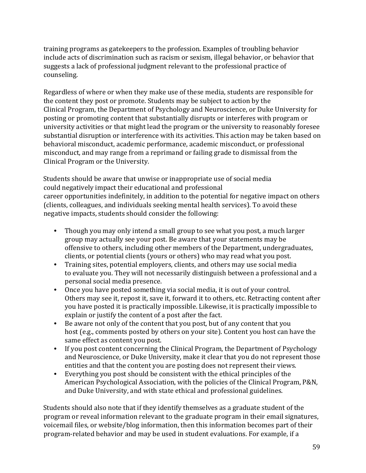training programs as gatekeepers to the profession. Examples of troubling behavior include acts of discrimination such as racism or sexism, illegal behavior, or behavior that suggests a lack of professional judgment relevant to the professional practice of counseling.

Regardless of where or when they make use of these media, students are responsible for the content they post or promote. Students may be subject to action by the Clinical Program, the Department of Psychology and Neuroscience, or Duke University for posting or promoting content that substantially disrupts or interferes with program or university activities or that might lead the program or the university to reasonably foresee substantial disruption or interference with its activities. This action may be taken based on behavioral misconduct, academic performance, academic misconduct, or professional misconduct, and may range from a reprimand or failing grade to dismissal from the Clinical Program or the University.

Students should be aware that unwise or inappropriate use of social media could negatively impact their educational and professional career opportunities indefinitely, in addition to the potential for negative impact on others (clients, colleagues, and individuals seeking mental health services). To avoid these negative impacts, students should consider the following:

- Though you may only intend a small group to see what you post, a much larger group may actually see your post. Be aware that your statements may be offensive to others, including other members of the Department, undergraduates, clients, or potential clients (yours or others) who may read what you post.
- Training sites, potential employers, clients, and others may use social media to evaluate you. They will not necessarily distinguish between a professional and a personal social media presence.
- Once you have posted something via social media, it is out of your control. Others may see it, repost it, save it, forward it to others, etc. Retracting content after you have posted it is practically impossible. Likewise, it is practically impossible to explain or justify the content of a post after the fact.
- Be aware not only of the content that you post, but of any content that you host (e.g., comments posted by others on your site). Content you host can have the same effect as content you post.
- If you post content concerning the Clinical Program, the Department of Psychology and Neuroscience, or Duke University, make it clear that you do not represent those entities and that the content you are posting does not represent their views.
- Everything you post should be consistent with the ethical principles of the American Psychological Association, with the policies of the Clinical Program, P&N, and Duke University, and with state ethical and professional guidelines.

Students should also note that if they identify themselves as a graduate student of the program or reveal information relevant to the graduate program in their email signatures, voicemail files, or website/blog information, then this information becomes part of their program-related behavior and may be used in student evaluations. For example, if a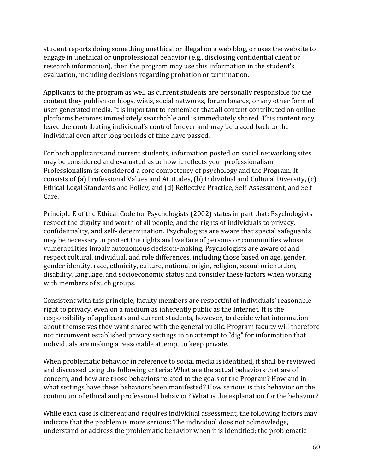student reports doing something unethical or illegal on a web blog, or uses the website to engage in unethical or unprofessional behavior (e.g., disclosing confidential client or research information), then the program may use this information in the student's evaluation, including decisions regarding probation or termination.

Applicants to the program as well as current students are personally responsible for the content they publish on blogs, wikis, social networks, forum boards, or any other form of user-generated media. It is important to remember that all content contributed on online platforms becomes immediately searchable and is immediately shared. This content may leave the contributing individual's control forever and may be traced back to the individual even after long periods of time have passed.

For both applicants and current students, information posted on social networking sites may be considered and evaluated as to how it reflects your professionalism. Professionalism is considered a core competency of psychology and the Program. It consists of (a) Professional Values and Attitudes, (b) Individual and Cultural Diversity,  $(c)$ Ethical Legal Standards and Policy, and (d) Reflective Practice, Self-Assessment, and Self-Care.

Principle E of the Ethical Code for Psychologists (2002) states in part that: Psychologists respect the dignity and worth of all people, and the rights of individuals to privacy, confidentiality, and self- determination. Psychologists are aware that special safeguards may be necessary to protect the rights and welfare of persons or communities whose vulnerabilities impair autonomous decision-making. Psychologists are aware of and respect cultural, individual, and role differences, including those based on age, gender, gender identity, race, ethnicity, culture, national origin, religion, sexual orientation, disability, language, and socioeconomic status and consider these factors when working with members of such groups.

Consistent with this principle, faculty members are respectful of individuals' reasonable right to privacy, even on a medium as inherently public as the Internet. It is the responsibility of applicants and current students, however, to decide what information about themselves they want shared with the general public. Program faculty will therefore not circumvent established privacy settings in an attempt to "dig" for information that individuals are making a reasonable attempt to keep private.

When problematic behavior in reference to social media is identified, it shall be reviewed and discussed using the following criteria: What are the actual behaviors that are of concern, and how are those behaviors related to the goals of the Program? How and in what settings have these behaviors been manifested? How serious is this behavior on the continuum of ethical and professional behavior? What is the explanation for the behavior?

While each case is different and requires individual assessment, the following factors may indicate that the problem is more serious: The individual does not acknowledge, understand or address the problematic behavior when it is identified; the problematic